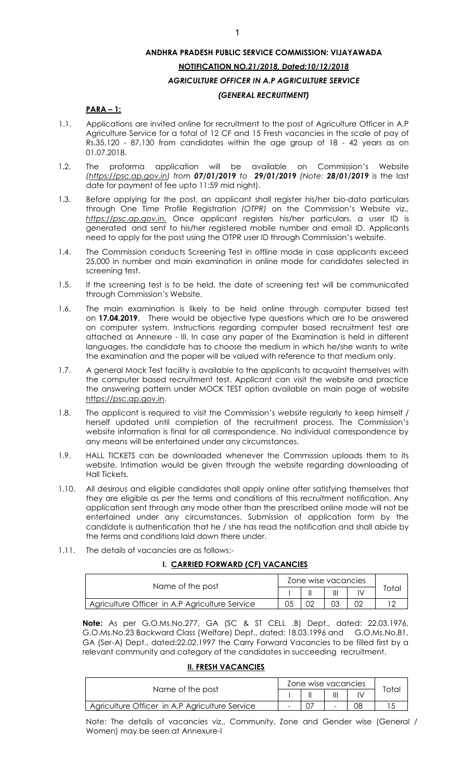## **PARA – 1:**

- 1.1. Applications are invited online for recruitment to the post of Agriculture Officer in A.P Agriculture Service for a total of 12 CF and 15 Fresh vacancies in the scale of pay of Rs.35,120 - 87,130 from candidates within the age group of 18 - 42 years as on 01.07.2018.
- 1.2. The proforma application will be available on Commission's Website *[\(https://psc.ap.gov.in\)](https://psc.ap.gov.in/) from 07/01/2019 to 29/01/2019 (Note: 28/01/2019* is the last date for payment of fee upto 11:59 mid night).
- 1.3. Before applying for the post, an applicant shall register his/her bio-data particulars through One Time Profile Registration *(OTPR)* on the Commission's Website viz., *[https://psc.ap.gov.in.](http://www.psc.ap.gov.in/)* Once applicant registers his/her particulars, a user ID is generated and sent to his/her registered mobile number and email ID. Applicants need to apply for the post using the OTPR user ID through Commission's website.
- 1.4. The Commission conducts Screening Test in offline mode in case applicants exceed 25,000 in number and main examination in online mode for candidates selected in screening test.
- 1.5. If the screening test is to be held, the date of screening test will be communicated through Commission's Website.
- 1.6. The main examination is likely to be held online through computer based test on **17.04.2019**. There would be objective type questions which are to be answered on computer system. Instructions regarding computer based recruitment test are attached as Annexure - III. In case any paper of the Examination is held in different languages, the candidate has to choose the medium in which he/she wants to write the examination and the paper will be valued with reference to that medium only.
- 1.7. A general Mock Test facility is available to the applicants to acquaint themselves with the computer based recruitment test. Applicant can visit the website and practice the answering pattern under MOCK TEST option available on main page of website [https://psc.ap.gov.in.](http://www.psc.ap.gov.in/)
- 1.8. The applicant is required to visit the Commission's website regularly to keep himself / herself updated until completion of the recruitment process. The Commission's website information is final for all correspondence. No individual correspondence by any means will be entertained under any circumstances.
- 1.9. HALL TICKETS can be downloaded whenever the Commission uploads them to its website. Intimation would be given through the website regarding downloading of Hall Tickets.
- 1.10. All desirous and eligible candidates shall apply online after satisfying themselves that they are eligible as per the terms and conditions of this recruitment notification. Any application sent through any mode other than the prescribed online mode will not be entertained under any circumstances. Submission of application form by the candidate is authentication that he / she has read the notification and shall abide by the terms and conditions laid down there under.
- 1.11. The details of vacancies are as follows:-

#### **I. CARRIED FORWARD (CF) VACANCIES**

|                                                | Zone wise vacancies |  |  |                   |
|------------------------------------------------|---------------------|--|--|-------------------|
| Name of the post                               |                     |  |  | <sup>r</sup> otal |
| Agriculture Officer in A.P Agriculture Service | 05                  |  |  |                   |

 **Note:** As per G.O.Ms.No.277, GA (SC & ST CELL .B) Dept., dated: 22.03.1976, G.O.Ms.No.23 Backward Class (Welfare) Dept., dated: 18.03.1996 and G.O.Ms.No.81, GA (Ser-A) Dept., dated:22.02.1997 the Carry Forward Vacancies to be filled first by a relevant community and category of the candidates in succeeding recruitment.

# **II. FRESH VACANCIES**

|                                                | Zone wise vacancies |  |    |       |
|------------------------------------------------|---------------------|--|----|-------|
| Name of the post                               |                     |  |    | Total |
| Agriculture Officer in A.P Agriculture Service |                     |  | 80 |       |

Note: The details of vacancies viz., Community, Zone and Gender wise (General / Women) may be seen at Annexure-I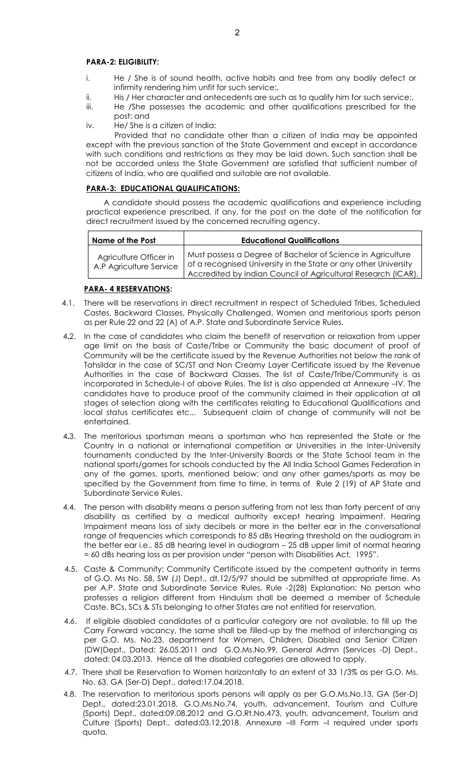#### **PARA-2: ELIGIBILITY:**

- i. He / She is of sound health, active habits and free from any bodily defect or infirmity rendering him unfit for such service:,
- ii. His / Her character and antecedents are such as to qualify him for such service:,
- iii. He /She possesses the academic and other qualifications prescribed for the post: and
- iv. He/ She is a citizen of India:

 Provided that no candidate other than a citizen of India may be appointed except with the previous sanction of the State Government and except in accordance with such conditions and restrictions as they may be laid down. Such sanction shall be not be accorded unless the State Government are satisfied that sufficient number of citizens of India, who are qualified and suitable are not available.

## **PARA-3: EDUCATIONAL QUALIFICATIONS:**

 A candidate should possess the academic qualifications and experience including practical experience prescribed, if any, for the post on the date of the notification for direct recruitment issued by the concerned recruiting agency.

| Name of the Post                                  | <b>Educational Qualifications</b>                                                                                                                                                               |
|---------------------------------------------------|-------------------------------------------------------------------------------------------------------------------------------------------------------------------------------------------------|
| Agriculture Officer in<br>A.P Agriculture Service | Must possess a Degree of Bachelor of Science in Agriculture<br>of a recognised University in the State or any other University<br>Accredited by Indian Council of Agricultural Research (ICAR). |

#### **PARA- 4 RESERVATIONS:**

- 4.1. There will be reservations in direct recruitment in respect of Scheduled Tribes, Scheduled Castes, Backward Classes, Physically Challenged, Women and meritorious sports person as per Rule 22 and 22 (A) of A.P. State and Subordinate Service Rules.
- 4**.**2. In the case of candidates who claim the benefit of reservation or relaxation from upper age limit on the basis of Caste/Tribe or Community the basic document of proof of Community will be the certificate issued by the Revenue Authorities not below the rank of Tahsildar in the case of SC/ST and Non Creamy Layer Certificate issued by the Revenue Authorities in the case of Backward Classes. The list of Caste/Tribe/Community is as incorporated in Schedule-I of above Rules. The list is also appended at Annexure –IV. The candidates have to produce proof of the community claimed in their application at all stages of selection along with the certificates relating to Educational Qualifications and local status certificates etc.,. Subsequent claim of change of community will not be entertained.
- 4**.**3. The meritorious sportsman means a sportsman who has represented the State or the Country in a national or international competition or Universities in the Inter-University tournaments conducted by the Inter-University Boards or the State School team in the national sports/games for schools conducted by the All India School Games Federation in any of the games, sports, mentioned below; and any other games/sports as may be specified by the Government from time to time, in terms of Rule 2 (19) of AP State and Subordinate Service Rules.
- 4.4. The person with disability means a person suffering from not less than forty percent of any disability as certified by a medical authority except hearing Impairment. Hearing Impairment means loss of sixty decibels or more in the better ear in the conversational range of frequencies which corresponds to 85 dBs Hearing threshold on the audiogram in the better ear i.e., 85 dB hearing level in audiogram – 25 dB upper limit of normal hearing = 60 dBs hearing loss as per provision under "person with Disabilities Act, 1995".
- 4.5. Caste & Community: Community Certificate issued by the competent authority in terms of G.O. Ms No. 58, SW (J) Dept., dt.12/5/97 should be submitted at appropriate time. As per A.P. State and Subordinate Service Rules, Rule -2(28) Explanation: No person who professes a religion different from Hinduism shall be deemed a member of Schedule Caste. BCs, SCs & STs belonging to other States are not entitled for reservation.
- 4.6. If eligible disabled candidates of a particular category are not available, to fill up the Carry Forward vacancy, the same shall be filled-up by the method of interchanging as per G.O. Ms. No.23, department for Women, Children, Disabled and Senior Citizen (DW)Dept., Dated: 26.05.2011 and G.O.Ms.No.99, General Admn (Services -D) Dept., dated: 04.03.2013. Hence all the disabled categories are allowed to apply.
- 4.7. There shall be Reservation to Women horizontally to an extent of 33 1/3% as per G.O. Ms. No. 63, GA (Ser-D) Dept., dated:17.04.2018.
- 4.8. The reservation to meritorious sports persons will apply as per G.O.Ms.No.13, GA (Ser-D) Dept., dated:23.01.2018, G.O.Ms.No.74, youth, advancement, Tourism and Culture (Sports) Dept., dated:09.08.2012 and G.O.Rt.No.473, youth, advancement, Tourism and Culture (Sports) Dept., dated:03.12.2018. Annexure –III Form –I required under sports quota.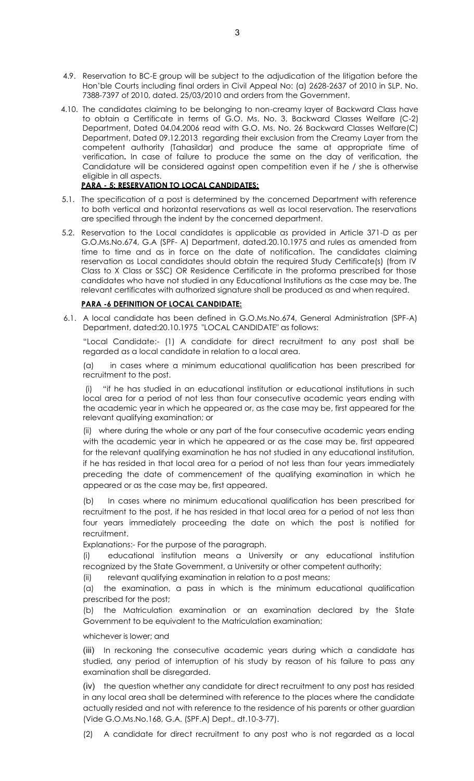- 4.9. Reservation to BC-E group will be subject to the adjudication of the litigation before the Hon'ble Courts including final orders in Civil Appeal No: (a) 2628-2637 of 2010 in SLP. No. 7388-7397 of 2010, dated. 25/03/2010 and orders from the Government.
- 4.10. The candidates claiming to be belonging to non-creamy layer of Backward Class have to obtain a Certificate in terms of G.O. Ms. No. 3, Backward Classes Welfare (C-2) Department, Dated 04.04.2006 read with G.O. Ms. No. 26 Backward Classes Welfare(C) Department, Dated 09.12.2013 regarding their exclusion from the Creamy Layer from the competent authority (Tahasildar) and produce the same at appropriate time of verification**.** In case of failure to produce the same on the day of verification, the Candidature will be considered against open competition even if he / she is otherwise eligible in all aspects.

# **PARA - 5: RESERVATION TO LOCAL CANDIDATES:**

- 5.1. The specification of a post is determined by the concerned Department with reference to both vertical and horizontal reservations as well as local reservation. The reservations are specified through the indent by the concerned department.
- 5.2. Reservation to the Local candidates is applicable as provided in Article 371-D as per G.O.Ms.No.674, G.A (SPF- A) Department, dated.20.10.1975 and rules as amended from time to time and as in force on the date of notification. The candidates claiming reservation as Local candidates should obtain the required Study Certificate(s) (from IV Class to X Class or SSC) OR Residence Certificate in the proforma prescribed for those candidates who have not studied in any Educational Institutions as the case may be. The relevant certificates with authorized signature shall be produced as and when required.

# **PARA -6 DEFINITION OF LOCAL CANDIDATE:**

6.1. A local candidate has been defined in G.O.Ms.No.674, General Administration (SPF-A) Department, dated:20.10.1975 "LOCAL CANDIDATE" as follows:

"Local Candidate:- (1) A candidate for direct recruitment to any post shall be regarded as a local candidate in relation to a local area.

(a) in cases where a minimum educational qualification has been prescribed for recruitment to the post.

 (i) "if he has studied in an educational institution or educational institutions in such local area for a period of not less than four consecutive academic years ending with the academic year in which he appeared or, as the case may be, first appeared for the relevant qualifying examination; or

(ii) where during the whole or any part of the four consecutive academic years ending with the academic year in which he appeared or as the case may be, first appeared for the relevant qualifying examination he has not studied in any educational institution, if he has resided in that local area for a period of not less than four years immediately preceding the date of commencement of the qualifying examination in which he appeared or as the case may be, first appeared.

(b) In cases where no minimum educational qualification has been prescribed for recruitment to the post, if he has resided in that local area for a period of not less than four years immediately proceeding the date on which the post is notified for recruitment.

Explanations:- For the purpose of the paragraph.

(i) educational institution means a University or any educational institution recognized by the State Government, a University or other competent authority;

(ii) relevant qualifying examination in relation to a post means;

(a) the examination, a pass in which is the minimum educational qualification prescribed for the post;

(b) the Matriculation examination or an examination declared by the State Government to be equivalent to the Matriculation examination;

whichever is lower; and

(iii) In reckoning the consecutive academic years during which a candidate has studied, any period of interruption of his study by reason of his failure to pass any examination shall be disregarded.

(iv) the question whether any candidate for direct recruitment to any post has resided in any local area shall be determined with reference to the places where the candidate actually resided and not with reference to the residence of his parents or other guardian (Vide G.O.Ms.No.168, G.A. (SPF.A) Dept., dt.10-3-77).

(2) A candidate for direct recruitment to any post who is not regarded as a local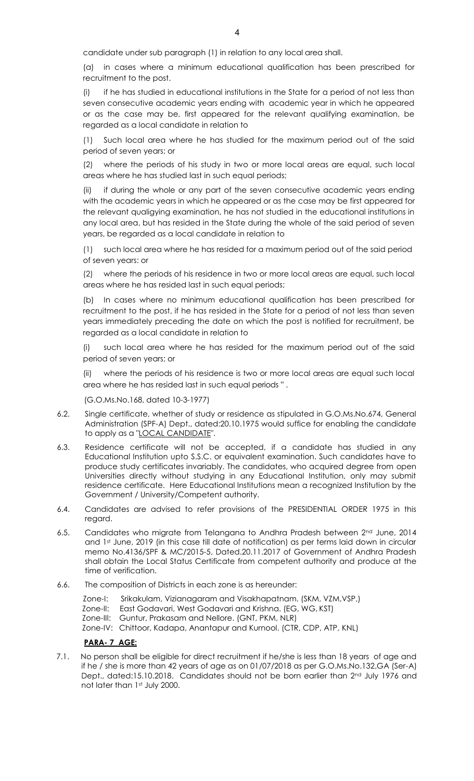candidate under sub paragraph (1) in relation to any local area shall.

(a) in cases where a minimum educational qualification has been prescribed for recruitment to the post.

(i) if he has studied in educational institutions in the State for a period of not less than seven consecutive academic years ending with academic year in which he appeared or as the case may be, first appeared for the relevant qualifying examination, be regarded as a local candidate in relation to

Such local area where he has studied for the maximum period out of the said period of seven years; or

(2) where the periods of his study in two or more local areas are equal, such local areas where he has studied last in such equal periods;

(ii) if during the whole or any part of the seven consecutive academic years ending with the academic years in which he appeared or as the case may be first appeared for the relevant qualigying examination, he has not studied in the educational institutions in any local area, but has resided in the State during the whole of the said period of seven years, be regarded as a local candidate in relation to

(1) such local area where he has resided for a maximum period out of the said period of seven years: or

(2) where the periods of his residence in two or more local areas are equal, such local areas where he has resided last in such equal periods;

(b) In cases where no minimum educational qualification has been prescribed for recruitment to the post, if he has resided in the State for a period of not less than seven years immediately preceding the date on which the post is notified for recruitment, be regarded as a local candidate in relation to

(i) such local area where he has resided for the maximum period out of the said period of seven years; or

(ii) where the periods of his residence is two or more local areas are equal such local area where he has resided last in such equal periods " .

(G.O.Ms.No.168, dated 10-3-1977)

- 6.2. Single certificate, whether of study or residence as stipulated in G.O.Ms.No.674, General Administration (SPF-A) Dept., dated:20.10.1975 would suffice for enabling the candidate to apply as a "LOCAL CANDIDATE".
- 6.3. Residence certificate will not be accepted, if a candidate has studied in any Educational Institution upto S.S.C. or equivalent examination. Such candidates have to produce study certificates invariably. The candidates, who acquired degree from open Universities directly without studying in any Educational Institution, only may submit residence certificate. Here Educational Institutions mean a recognized Institution by the Government / University/Competent authority.
- 6.4. Candidates are advised to refer provisions of the PRESIDENTIAL ORDER 1975 in this regard.
- 6.5. Candidates who migrate from Telangana to Andhra Pradesh between 2nd June, 2014 and 1st June, 2019 (in this case till date of notification) as per terms laid down in circular memo No.4136/SPF & MC/2015-5, Dated.20.11.2017 of Government of Andhra Pradesh shall obtain the Local Status Certificate from competent authority and produce at the time of verification.
- 6.6. The composition of Districts in each zone is as hereunder:
	- Zone-I: Srikakulam, Vizianagaram and Visakhapatnam. (SKM, VZM,VSP,)
	- Zone-II: East Godavari, West Godavari and Krishna. (EG, WG, KST)
	- Zone-III: Guntur, Prakasam and Nellore. (GNT, PKM, NLR)

Zone-IV: Chittoor, Kadapa, Anantapur and Kurnool. (CTR, CDP, ATP, KNL)

#### **PARA- 7 AGE:**

7.1. No person shall be eligible for direct recruitment if he/she is less than 18 years of age and if he / she is more than 42 years of age as on 01/07/2018 as per G.O.Ms.No.132,GA (Ser-A) Dept., dated:15.10.2018. Candidates should not be born earlier than 2nd July 1976 and not later than 1st July 2000.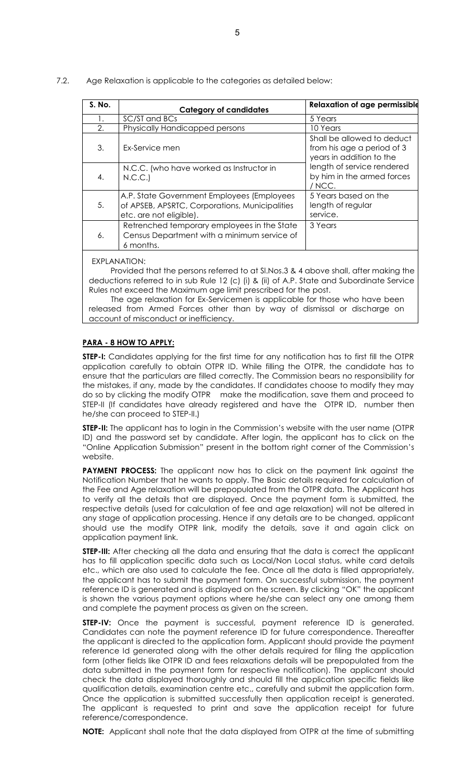| S. No. | <b>Category of candidates</b>                                                                                           | <b>Relaxation of age permissible</b>                                                 |
|--------|-------------------------------------------------------------------------------------------------------------------------|--------------------------------------------------------------------------------------|
| 1.     | SC/ST and BCs                                                                                                           | 5 Years                                                                              |
| 2.     | Physically Handicapped persons                                                                                          | 10 Years                                                                             |
| 3.     | Ex-Service men                                                                                                          | Shall be allowed to deduct<br>from his age a period of 3<br>years in addition to the |
| 4.     | N.C.C. (who have worked as Instructor in<br>N.C.C.                                                                      | length of service rendered<br>by him in the armed forces<br>/ NCC.                   |
| 5.     | A.P. State Government Employees (Employees<br>of APSEB, APSRTC, Corporations, Municipalities<br>etc. are not eligible). | 5 Years based on the<br>length of regular<br>service.                                |
| 6.     | Retrenched temporary employees in the State<br>Census Department with a minimum service of<br>6 months.                 | 3 Years                                                                              |

7.2. Age Relaxation is applicable to the categories as detailed below:

Provided that the persons referred to at Sl.Nos.3 & 4 above shall, after making the deductions referred to in sub Rule 12 (c) (i) & (ii) of A.P. State and Subordinate Service Rules not exceed the Maximum age limit prescribed for the post.

The age relaxation for Ex-Servicemen is applicable for those who have been released from Armed Forces other than by way of dismissal or discharge on account of misconduct or inefficiency.

#### **PARA - 8 HOW TO APPLY:**

**STEP-I:** Candidates applying for the first time for any notification has to first fill the OTPR application carefully to obtain OTPR ID. While filling the OTPR, the candidate has to ensure that the particulars are filled correctly. The Commission bears no responsibility for the mistakes, if any, made by the candidates. If candidates choose to modify they may do so by clicking the modify OTPR make the modification, save them and proceed to STEP-II (If candidates have already registered and have the OTPR ID, number then he/she can proceed to STEP-II.)

**STEP-II:** The applicant has to login in the Commission's website with the user name (OTPR ID) and the password set by candidate. After login, the applicant has to click on the "Online Application Submission" present in the bottom right corner of the Commission's website.

**PAYMENT PROCESS:** The applicant now has to click on the payment link against the Notification Number that he wants to apply. The Basic details required for calculation of the Fee and Age relaxation will be prepopulated from the OTPR data. The Applicant has to verify all the details that are displayed. Once the payment form is submitted, the respective details (used for calculation of fee and age relaxation) will not be altered in any stage of application processing. Hence if any details are to be changed, applicant should use the modify OTPR link, modify the details, save it and again click on application payment link.

**STEP-III:** After checking all the data and ensuring that the data is correct the applicant has to fill application specific data such as Local/Non Local status, white card details etc., which are also used to calculate the fee. Once all the data is filled appropriately, the applicant has to submit the payment form. On successful submission, the payment reference ID is generated and is displayed on the screen. By clicking "OK" the applicant is shown the various payment options where he/she can select any one among them and complete the payment process as given on the screen.

**STEP-IV:** Once the payment is successful, payment reference ID is generated. Candidates can note the payment reference ID for future correspondence. Thereafter the applicant is directed to the application form. Applicant should provide the payment reference Id generated along with the other details required for filing the application form (other fields like OTPR ID and fees relaxations details will be prepopulated from the data submitted in the payment form for respective notification). The applicant should check the data displayed thoroughly and should fill the application specific fields like qualification details, examination centre etc., carefully and submit the application form. Once the application is submitted successfully then application receipt is generated. The applicant is requested to print and save the application receipt for future reference/correspondence.

**NOTE:** Applicant shall note that the data displayed from OTPR at the time of submitting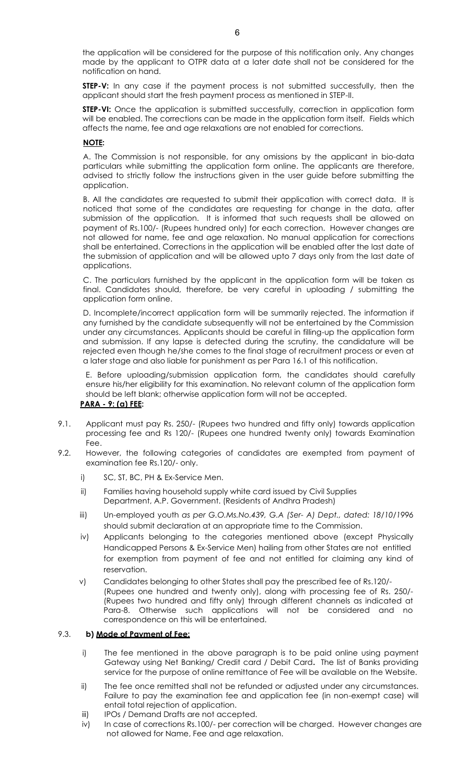the application will be considered for the purpose of this notification only. Any changes made by the applicant to OTPR data at a later date shall not be considered for the notification on hand.

**STEP-V:** In any case if the payment process is not submitted successfully, then the applicant should start the fresh payment process as mentioned in STEP-II.

**STEP-VI:** Once the application is submitted successfully, correction in application form will be enabled. The corrections can be made in the application form itself. Fields which affects the name, fee and age relaxations are not enabled for corrections.

## **NOTE:**

 A. The Commission is not responsible, for any omissions by the applicant in bio-data particulars while submitting the application form online. The applicants are therefore, advised to strictly follow the instructions given in the user guide before submitting the application.

 B. All the candidates are requested to submit their application with correct data. It is noticed that some of the candidates are requesting for change in the data, after submission of the application. It is informed that such requests shall be allowed on payment of Rs.100/- (Rupees hundred only) for each correction. However changes are not allowed for name, fee and age relaxation. No manual application for corrections shall be entertained. Corrections in the application will be enabled after the last date of the submission of application and will be allowed upto 7 days only from the last date of applications.

 C. The particulars furnished by the applicant in the application form will be taken as final. Candidates should, therefore, be very careful in uploading / submitting the application form online.

 D. Incomplete/incorrect application form will be summarily rejected. The information if any furnished by the candidate subsequently will not be entertained by the Commission under any circumstances. Applicants should be careful in filling-up the application form and submission. If any lapse is detected during the scrutiny, the candidature will be rejected even though he/she comes to the final stage of recruitment process or even at a later stage and also liable for punishment as per Para 16.1 of this notification.

E. Before uploading/submission application form, the candidates should carefully ensure his/her eligibility for this examination. No relevant column of the application form should be left blank; otherwise application form will not be accepted.

#### **PARA - 9: (a) FEE:**

- 9.1. Applicant must pay Rs. 250/- (Rupees two hundred and fifty only) towards application processing fee and Rs 120/- (Rupees one hundred twenty only) towards Examination Fee.
- 9.2. However, the following categories of candidates are exempted from payment of examination fee Rs.120/- only.
	- i) SC, ST, BC, PH & Ex-Service Men.
	- ii) Families having household supply white card issued by Civil Supplies Department, A.P. Government. (Residents of Andhra Pradesh)
	- iii) Un-employed youth *as per G.O.Ms.No.439, G.A (Ser- A) Dept., dated: 18/10/1996* should submit declaration at an appropriate time to the Commission.
	- iv) Applicants belonging to the categories mentioned above (except Physically Handicapped Persons & Ex-Service Men) hailing from other States are not entitled for exemption from payment of fee and not entitled for claiming any kind of reservation.
	- v) Candidates belonging to other States shall pay the prescribed fee of Rs.120/- (Rupees one hundred and twenty only), along with processing fee of Rs. 250/- (Rupees two hundred and fifty only) through different channels as indicated at Para-8. Otherwise such applications will not be considered and no correspondence on this will be entertained.

# 9.3. **b) Mode of Payment of Fee:**

- i) The fee mentioned in the above paragraph is to be paid online using payment Gateway using Net Banking/ Credit card / Debit Card**.** The list of Banks providing service for the purpose of online remittance of Fee will be available on the Website.
- ii) The fee once remitted shall not be refunded or adjusted under any circumstances. Failure to pay the examination fee and application fee (in non-exempt case) will entail total rejection of application.
- iii) IPOs / Demand Drafts are not accepted.
- iv) In case of corrections Rs.100/- per correction will be charged. However changes are not allowed for Name, Fee and age relaxation.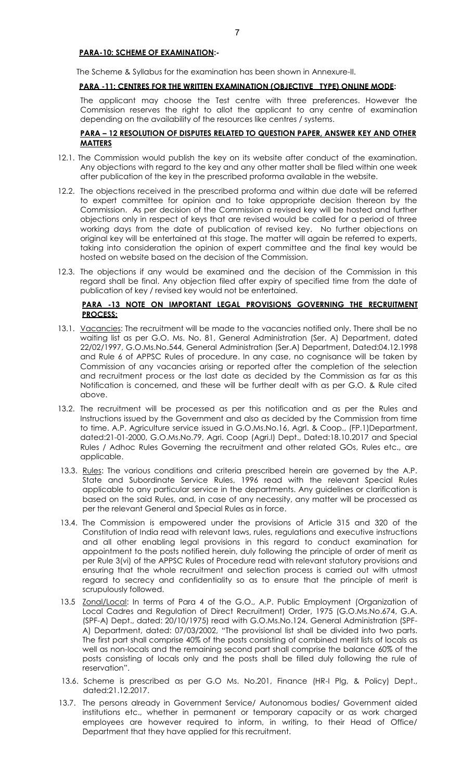#### **PARA-10: SCHEME OF EXAMINATION:-**

The Scheme & Syllabus for the examination has been shown in Annexure-II.

#### **PARA -11: CENTRES FOR THE WRITTEN EXAMINATION (OBJECTIVE TYPE) ONLINE MODE:**

 The applicant may choose the Test centre with three preferences. However the Commission reserves the right to allot the applicant to any centre of examination depending on the availability of the resources like centres / systems.

## **PARA – 12 RESOLUTION OF DISPUTES RELATED TO QUESTION PAPER, ANSWER KEY AND OTHER MATTERS**

- 12.1. The Commission would publish the key on its website after conduct of the examination. Any objections with regard to the key and any other matter shall be filed within one week after publication of the key in the prescribed proforma available in the website.
- 12.2. The objections received in the prescribed proforma and within due date will be referred to expert committee for opinion and to take appropriate decision thereon by the Commission. As per decision of the Commission a revised key will be hosted and further objections only in respect of keys that are revised would be called for a period of three working days from the date of publication of revised key. No further objections on original key will be entertained at this stage. The matter will again be referred to experts, taking into consideration the opinion of expert committee and the final key would be hosted on website based on the decision of the Commission.
- 12.3. The objections if any would be examined and the decision of the Commission in this regard shall be final. Any objection filed after expiry of specified time from the date of publication of key / revised key would not be entertained.

#### **PARA -13 NOTE ON IMPORTANT LEGAL PROVISIONS GOVERNING THE RECRUITMENT PROCESS:**

- 13.1. Vacancies: The recruitment will be made to the vacancies notified only. There shall be no waiting list as per G.O. Ms. No. 81, General Administration (Ser. A) Department, dated 22/02/1997, G.O.Ms.No.544, General Administration (Ser.A) Department, Dated:04.12.1998 and Rule 6 of APPSC Rules of procedure. In any case, no cognisance will be taken by Commission of any vacancies arising or reported after the completion of the selection and recruitment process or the last date as decided by the Commission as far as this Notification is concerned, and these will be further dealt with as per G.O. & Rule cited above.
- 13.2. The recruitment will be processed as per this notification and as per the Rules and Instructions issued by the Government and also as decided by the Commission from time to time. A.P. Agriculture service issued in G.O.Ms.No.16, Agrl. & Coop., (FP.1)Department, dated:21-01-2000, G.O.Ms.No.79, Agri. Coop (Agri.I) Dept., Dated:18.10.2017 and Special Rules / Adhoc Rules Governing the recruitment and other related GOs, Rules etc., are applicable.
- 13.3. Rules: The various conditions and criteria prescribed herein are governed by the A.P. State and Subordinate Service Rules, 1996 read with the relevant Special Rules applicable to any particular service in the departments. Any guidelines or clarification is based on the said Rules, and, in case of any necessity, any matter will be processed as per the relevant General and Special Rules as in force.
- 13.4. The Commission is empowered under the provisions of Article 315 and 320 of the Constitution of India read with relevant laws, rules, regulations and executive instructions and all other enabling legal provisions in this regard to conduct examination for appointment to the posts notified herein, duly following the principle of order of merit as per Rule 3(vi) of the APPSC Rules of Procedure read with relevant statutory provisions and ensuring that the whole recruitment and selection process is carried out with utmost regard to secrecy and confidentiality so as to ensure that the principle of merit is scrupulously followed.
- 13.5 Zonal/Local: In terms of Para 4 of the G.O., A.P. Public Employment (Organization of Local Cadres and Regulation of Direct Recruitment) Order, 1975 (G.O.Ms.No.674, G.A. (SPF-A) Dept., dated: 20/10/1975) read with G.O.Ms.No.124, General Administration (SPF-A) Department, dated: 07/03/2002, "The provisional list shall be divided into two parts. The first part shall comprise 40% of the posts consisting of combined merit lists of locals as well as non-locals and the remaining second part shall comprise the balance 60% of the posts consisting of locals only and the posts shall be filled duly following the rule of reservation".
- 13.6. Scheme is prescribed as per G.O Ms. No.201, Finance (HR-I Plg, & Policy) Dept., dated:21.12.2017.
- 13.7. The persons already in Government Service/ Autonomous bodies/ Government aided institutions etc., whether in permanent or temporary capacity or as work charged employees are however required to inform, in writing, to their Head of Office/ Department that they have applied for this recruitment.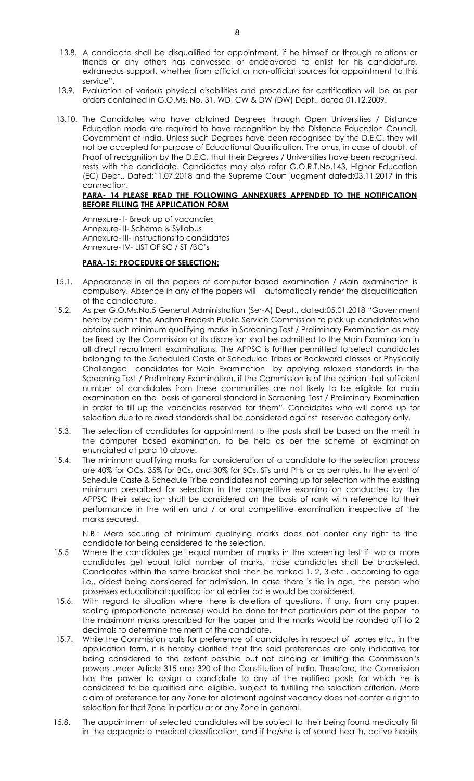- 13.8. A candidate shall be disqualified for appointment, if he himself or through relations or friends or any others has canvassed or endeavored to enlist for his candidature, extraneous support, whether from official or non-official sources for appointment to this service".
- 13.9. Evaluation of various physical disabilities and procedure for certification will be as per orders contained in G.O.Ms. No. 31, WD, CW & DW (DW) Dept., dated 01.12.2009.
- 13.10. The Candidates who have obtained Degrees through Open Universities / Distance Education mode are required to have recognition by the Distance Education Council, Government of India. Unless such Degrees have been recognised by the D.E.C. they will not be accepted for purpose of Educational Qualification. The onus, in case of doubt, of Proof of recognition by the D.E.C. that their Degrees / Universities have been recognised, rests with the candidate. Candidates may also refer G.O.R.T.No.143, Higher Education (EC) Dept., Dated:11.07.2018 and the Supreme Court judgment dated:03.11.2017 in this connection.

#### **PARA- 14 PLEASE READ THE FOLLOWING ANNEXURES APPENDED TO THE NOTIFICATION BEFORE FILLING THE APPLICATION FORM**

 Annexure- I- Break up of vacancies Annexure- II- Scheme & Syllabus Annexure- III- Instructions to candidates Annexure- IV- LIST OF SC / ST /BC's

# **PARA-15: PROCEDURE OF SELECTION:**

- 15.1. Appearance in all the papers of computer based examination / Main examination is compulsory. Absence in any of the papers will automatically render the disqualification of the candidature.
- 15.2. As per G.O.Ms.No.5 General Administration (Ser-A) Dept., dated:05.01.2018 "Government here by permit the Andhra Pradesh Public Service Commission to pick up candidates who obtains such minimum qualifying marks in Screening Test / Preliminary Examination as may be fixed by the Commission at its discretion shall be admitted to the Main Examination in all direct recruitment examinations. The APPSC is further permitted to select candidates belonging to the Scheduled Caste or Scheduled Tribes or Backward classes or Physically Challenged candidates for Main Examination by applying relaxed standards in the Screening Test / Preliminary Examination, if the Commission is of the opinion that sufficient number of candidates from these communities are not likely to be eligible for main examination on the basis of general standard in Screening Test / Preliminary Examination in order to fill up the vacancies reserved for them". Candidates who will come up for selection due to relaxed standards shall be considered against reserved category only.
- 15.3. The selection of candidates for appointment to the posts shall be based on the merit in the computer based examination, to be held as per the scheme of examination enunciated at para 10 above.
- 15.4. The minimum qualifying marks for consideration of a candidate to the selection process are 40% for OCs, 35% for BCs, and 30% for SCs, STs and PHs or as per rules. In the event of Schedule Caste & Schedule Tribe candidates not coming up for selection with the existing minimum prescribed for selection in the competitive examination conducted by the APPSC their selection shall be considered on the basis of rank with reference to their performance in the written and / or oral competitive examination irrespective of the marks secured.

N.B.: Mere securing of minimum qualifying marks does not confer any right to the candidate for being considered to the selection.

- 15.5. Where the candidates get equal number of marks in the screening test if two or more candidates get equal total number of marks, those candidates shall be bracketed. Candidates within the same bracket shall then be ranked 1, 2, 3 etc., according to age i.e., oldest being considered for admission. In case there is tie in age, the person who possesses educational qualification at earlier date would be considered.
- 15.6. With regard to situation where there is deletion of questions, if any, from any paper, scaling (proportionate increase) would be done for that particulars part of the paper to the maximum marks prescribed for the paper and the marks would be rounded off to 2 decimals to determine the merit of the candidate.
- 15.7. While the Commission calls for preference of candidates in respect of zones etc., in the application form, it is hereby clarified that the said preferences are only indicative for being considered to the extent possible but not binding or limiting the Commission's powers under Article 315 and 320 of the Constitution of India. Therefore, the Commission has the power to assign a candidate to any of the notified posts for which he is considered to be qualified and eligible, subject to fulfilling the selection criterion. Mere claim of preference for any Zone for allotment against vacancy does not confer a right to selection for that Zone in particular or any Zone in general.
- 15.8. The appointment of selected candidates will be subject to their being found medically fit in the appropriate medical classification, and if he/she is of sound health, active habits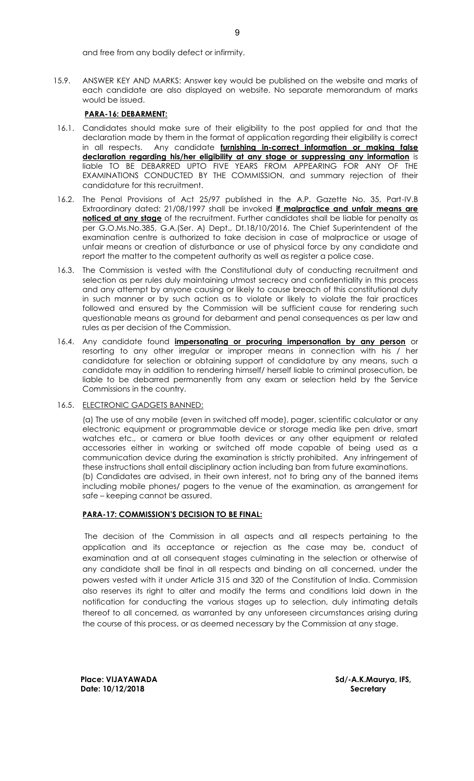and free from any bodily defect or infirmity.

15.9. ANSWER KEY AND MARKS: Answer key would be published on the website and marks of each candidate are also displayed on website. No separate memorandum of marks would be issued.

# **PARA-16: DEBARMENT:**

- 16.1. Candidates should make sure of their eligibility to the post applied for and that the declaration made by them in the format of application regarding their eligibility is correct in all respects. Any candidate **furnishing in-correct information or making false declaration regarding his/her eligibility at any stage or suppressing any information** is liable TO BE DEBARRED UPTO FIVE YEARS FROM APPEARING FOR ANY OF THE EXAMINATIONS CONDUCTED BY THE COMMISSION, and summary rejection of their candidature for this recruitment.
- 16.2. The Penal Provisions of Act 25/97 published in the A.P. Gazette No. 35, Part-IV.B Extraordinary dated: 21/08/1997 shall be invoked **if malpractice and unfair means are noticed at any stage** of the recruitment. Further candidates shall be liable for penalty as per G.O.Ms.No.385, G.A.(Ser. A) Dept., Dt.18/10/2016. The Chief Superintendent of the examination centre is authorized to take decision in case of malpractice or usage of unfair means or creation of disturbance or use of physical force by any candidate and report the matter to the competent authority as well as register a police case.
- 16.3. The Commission is vested with the Constitutional duty of conducting recruitment and selection as per rules duly maintaining utmost secrecy and confidentiality in this process and any attempt by anyone causing or likely to cause breach of this constitutional duty in such manner or by such action as to violate or likely to violate the fair practices followed and ensured by the Commission will be sufficient cause for rendering such questionable means as ground for debarment and penal consequences as per law and rules as per decision of the Commission.
- 16.4. Any candidate found **impersonating or procuring impersonation by any person** or resorting to any other irregular or improper means in connection with his / her candidature for selection or obtaining support of candidature by any means, such a candidate may in addition to rendering himself/ herself liable to criminal prosecution, be liable to be debarred permanently from any exam or selection held by the Service Commissions in the country.
- 16.5. ELECTRONIC GADGETS BANNED:

 (a) The use of any mobile (even in switched off mode), pager, scientific calculator or any electronic equipment or programmable device or storage media like pen drive, smart watches etc., or camera or blue tooth devices or any other equipment or related accessories either in working or switched off mode capable of being used as a communication device during the examination is strictly prohibited. Any infringement of these instructions shall entail disciplinary action including ban from future examinations. (b) Candidates are advised, in their own interest, not to bring any of the banned items including mobile phones/ pagers to the venue of the examination, as arrangement for safe – keeping cannot be assured.

#### **PARA-17: COMMISSION'S DECISION TO BE FINAL:**

 The decision of the Commission in all aspects and all respects pertaining to the application and its acceptance or rejection as the case may be, conduct of examination and at all consequent stages culminating in the selection or otherwise of any candidate shall be final in all respects and binding on all concerned, under the powers vested with it under Article 315 and 320 of the Constitution of India. Commission also reserves its right to alter and modify the terms and conditions laid down in the notification for conducting the various stages up to selection, duly intimating details thereof to all concerned, as warranted by any unforeseen circumstances arising during the course of this process, or as deemed necessary by the Commission at any stage.

Place: VIJAYAWADA **Sd/-A.K.Maurya, IFS,** Sd/-A.K.Maurya, IFS, **Date: 10/12/2018 Secretary**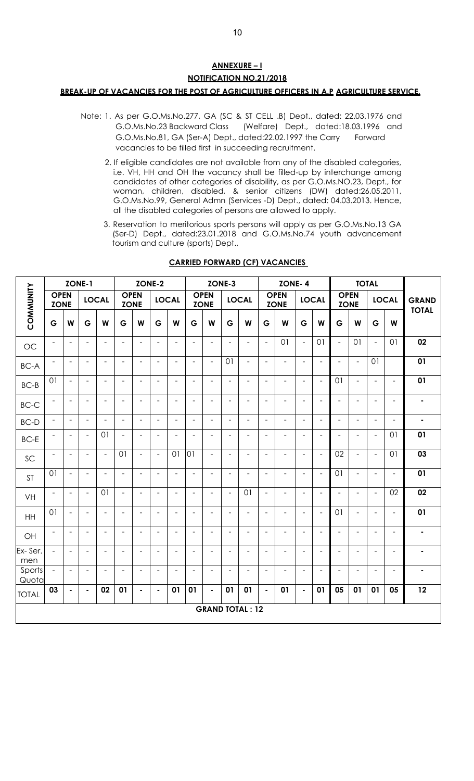# **ANNEXURE – I NOTIFICATION NO.21/2018 BREAK-UP OF VACANCIES FOR THE POST OF AGRICULTURE OFFICERS IN A.P AGRICULTURE SERVICE.**

- Note: 1. As per G.O.Ms.No.277, GA (SC & ST CELL .B) Dept., dated: 22.03.1976 and G.O.Ms.No.23 Backward Class (Welfare) Dept., dated:18.03.1996 and G.O.Ms.No.81, GA (Ser-A) Dept., dated:22.02.1997 the Carry Forward vacancies to be filled first in succeeding recruitment.
	- 2. If eligible candidates are not available from any of the disabled categories, i.e. VH, HH and OH the vacancy shall be filled-up by interchange among candidates of other categories of disability, as per G.O.Ms.NO.23, Dept., for woman, children, disabled, & senior citizens (DW) dated:26.05.2011, G.O.Ms.No.99, General Admn (Services -D) Dept., dated: 04.03.2013. Hence, all the disabled categories of persons are allowed to apply.
	- 3. Reservation to meritorious sports persons will apply as per G.O.Ms.No.13 GA (Ser-D) Dept., dated:23.01.2018 and G.O.Ms.No.74 youth advancement tourism and culture (sports) Dept.,

|                 | ZONE-1                     |                          |                          |                | ZONE-2                     |                          |                          |                          | ZONE-3                   |                            |                          |                              | <b>ZONE-4</b>            |                            |                          |                          |                            | <b>TOTAL</b>             |                          |                          |                              |
|-----------------|----------------------------|--------------------------|--------------------------|----------------|----------------------------|--------------------------|--------------------------|--------------------------|--------------------------|----------------------------|--------------------------|------------------------------|--------------------------|----------------------------|--------------------------|--------------------------|----------------------------|--------------------------|--------------------------|--------------------------|------------------------------|
| COMMUNITY       | <b>OPEN</b><br><b>ZONE</b> |                          | <b>LOCAL</b>             |                | <b>OPEN</b><br><b>ZONE</b> |                          |                          | <b>LOCAL</b>             |                          | <b>OPEN</b><br><b>ZONE</b> |                          | <b>LOCAL</b>                 |                          | <b>OPEN</b><br><b>ZONE</b> |                          | <b>LOCAL</b>             | <b>OPEN</b><br><b>ZONE</b> |                          |                          | <b>LOCAL</b>             | <b>GRAND</b><br><b>TOTAL</b> |
|                 | G                          | W                        | G                        | W              | G                          | W                        | G                        | W                        | G                        | W                          | G                        | W                            | G                        | W                          | G                        | W                        | G                          | W                        | G                        | W                        |                              |
| OC              | $\overline{\phantom{a}}$   | $\blacksquare$           | $\overline{\phantom{m}}$ | $\blacksquare$ | $\overline{\phantom{a}}$   | $\sim$                   | $\blacksquare$           | $\blacksquare$           | $\overline{\phantom{a}}$ | $\blacksquare$             | $\blacksquare$           | $\overline{a}$               | $\overline{\phantom{a}}$ | 01                         | $\frac{1}{2}$            | 01                       | $\equiv$                   | 01                       | $\bar{\phantom{a}}$      | 01                       | 02                           |
| <b>BC-A</b>     | $\overline{a}$             | $\overline{a}$           | $\overline{\phantom{a}}$ | $\overline{a}$ | $\overline{\phantom{a}}$   | $\blacksquare$           | $\blacksquare$           | $\blacksquare$           | $\overline{a}$           | $\bar{\phantom{a}}$        | 01                       | $\overline{a}$               | $\blacksquare$           | $\blacksquare$             | $\overline{a}$           | $\overline{\phantom{a}}$ | $\overline{a}$             | $\blacksquare$           | 01                       |                          | 01                           |
| $BC-B$          | 01                         | $\overline{\phantom{a}}$ | $\overline{\phantom{a}}$ | L.             | $\overline{\phantom{a}}$   | $\sim$                   | $\overline{\phantom{a}}$ | $\overline{\phantom{a}}$ | $\frac{1}{2}$            | $\overline{\phantom{a}}$   | $\overline{\phantom{a}}$ | $\qquad \qquad \blacksquare$ | $\overline{\phantom{a}}$ | $\overline{\phantom{a}}$   | $\overline{\phantom{a}}$ | $\overline{\phantom{a}}$ | 01                         | $\blacksquare$           | $\overline{\phantom{a}}$ | $\overline{\phantom{a}}$ | 01                           |
| $BC-C$          | $\blacksquare$             | $\blacksquare$           | $\blacksquare$           | $\blacksquare$ | $\overline{\phantom{a}}$   | $\overline{\phantom{a}}$ | $\overline{\phantom{a}}$ | $\equiv$                 | $\overline{\phantom{a}}$ | $\overline{\phantom{a}}$   | $\blacksquare$           | $\overline{\phantom{a}}$     | $\overline{\phantom{a}}$ | $\blacksquare$             | $\overline{\phantom{a}}$ | $\equiv$                 | $\overline{\phantom{a}}$   | $\blacksquare$           | $\blacksquare$           | ÷,                       | ۰                            |
| $BC-D$          | $\Box$                     | $\overline{\phantom{a}}$ | $\equiv$                 | $\blacksquare$ | $\overline{\phantom{a}}$   | $\sim$                   | $\sim$                   | $\sim$                   | $\overline{\phantom{a}}$ | $\blacksquare$             | $\blacksquare$           | $\blacksquare$               | $\blacksquare$           | $\overline{\phantom{a}}$   | $\equiv$                 | $\overline{\phantom{a}}$ | $\overline{\phantom{a}}$   | $\blacksquare$           | $\blacksquare$           | ÷,                       | $\blacksquare$               |
| $BC-E$          | $\overline{\phantom{a}}$   | $\blacksquare$           | $\overline{\phantom{a}}$ | 01             | $\overline{\phantom{a}}$   | $\overline{a}$           | $\blacksquare$           | $\overline{a}$           | $\blacksquare$           | $\blacksquare$             | $\overline{\phantom{a}}$ | $\overline{\phantom{a}}$     | $\overline{\phantom{a}}$ | $\overline{\phantom{a}}$   | $\overline{\phantom{a}}$ | $\blacksquare$           | $\sim$                     | ÷                        | $\overline{\phantom{a}}$ | 01                       | 01                           |
| SC              | $\qquad \qquad -$          | $\overline{a}$           | $\overline{a}$           | $\blacksquare$ | 01                         | $\sim$                   | $\overline{\phantom{a}}$ | 01                       | 01                       | $\overline{\phantom{a}}$   | ÷,                       | $\overline{\phantom{a}}$     | $\overline{\phantom{a}}$ | $\blacksquare$             | $\overline{a}$           | $\ddot{\phantom{1}}$     | 02                         | $\blacksquare$           | $\overline{\phantom{a}}$ | 01                       | 03                           |
| <b>ST</b>       | 01                         | $\overline{\phantom{a}}$ | $\overline{\phantom{a}}$ | $\overline{a}$ | $\overline{\phantom{a}}$   | $\overline{a}$           | $\overline{\phantom{a}}$ | $\blacksquare$           | $\overline{a}$           | $\overline{\phantom{a}}$   | L.                       | $\overline{a}$               | $\blacksquare$           | $\blacksquare$             | ÷,                       | $\overline{\phantom{a}}$ | 01                         | $\blacksquare$           | $\overline{\phantom{a}}$ | $\overline{a}$           | 01                           |
| VH              | $\blacksquare$             | $\overline{\phantom{a}}$ | $\overline{\phantom{a}}$ | 01             | $\overline{\phantom{a}}$   | $\overline{\phantom{a}}$ | $\overline{\phantom{a}}$ | $\blacksquare$           | $\overline{\phantom{a}}$ | $\overline{\phantom{a}}$   | $\overline{\phantom{a}}$ | O <sub>1</sub>               | $\overline{\phantom{a}}$ | $\overline{\phantom{a}}$   | $\overline{\phantom{a}}$ | $\overline{\phantom{a}}$ | $\overline{\phantom{a}}$   | $\overline{\phantom{a}}$ | $\overline{\phantom{a}}$ | 02                       | 02                           |
| HH              | 01                         | $\blacksquare$           | $\blacksquare$           | $\blacksquare$ | $\overline{\phantom{a}}$   | $\sim$                   | $\blacksquare$           | $\blacksquare$           | $\overline{a}$           | $\blacksquare$             | $\overline{a}$           | $\overline{\phantom{a}}$     | $\blacksquare$           | $\blacksquare$             | $\equiv$                 | $\overline{\phantom{a}}$ | 01                         | $\overline{\phantom{a}}$ | $\overline{\phantom{a}}$ | $\blacksquare$           | 01                           |
| OH              | $\qquad \qquad -$          | $\overline{\phantom{a}}$ | $\blacksquare$           | $\blacksquare$ | $\overline{\phantom{a}}$   | $\blacksquare$           | $\overline{\phantom{a}}$ | $\blacksquare$           | $\blacksquare$           | $\blacksquare$             | $\overline{\phantom{a}}$ | $\overline{\phantom{a}}$     | $\blacksquare$           | $\blacksquare$             | $\overline{\phantom{a}}$ | $\sim$                   | $\overline{\phantom{a}}$   | $\overline{a}$           | $\blacksquare$           | $\overline{\phantom{a}}$ | $\blacksquare$               |
| Ex-Ser.<br>men  | $\overline{a}$             | $\overline{\phantom{a}}$ | ÷                        | ÷,             | $\overline{\phantom{a}}$   | $\overline{\phantom{a}}$ | $\overline{\phantom{a}}$ | ÷                        | ۳                        | $\overline{\phantom{a}}$   |                          | $\overline{\phantom{a}}$     | $\overline{\phantom{a}}$ | $\blacksquare$             | $\blacksquare$           | $\overline{\phantom{a}}$ | $\overline{\phantom{a}}$   |                          | ÷                        | $\overline{\phantom{a}}$ | $\blacksquare$               |
| Sports<br>Quota | $\Box$                     | $\blacksquare$           | $\overline{\phantom{a}}$ | $\blacksquare$ | $\overline{\phantom{a}}$   | $\sim$                   | $\overline{\phantom{a}}$ | $\blacksquare$           | $\blacksquare$           | $\blacksquare$             | $\blacksquare$           | $\overline{\phantom{a}}$     | $\blacksquare$           | $\blacksquare$             | $\overline{\phantom{a}}$ | $\overline{\phantom{a}}$ | $\overline{\phantom{a}}$   | $\overline{a}$           | $\overline{\phantom{a}}$ | $\overline{\phantom{a}}$ | ٠                            |
| <b>TOTAL</b>    | 03                         | $\blacksquare$           | ٠                        | 02             | 01                         | $\blacksquare$           | $\blacksquare$           | 01                       | 01                       | $\blacksquare$             | 01                       | 01                           | $\blacksquare$           | 01                         | $\blacksquare$           | 01                       | 05                         | 01                       | 01                       | 05                       | 12                           |
|                 | <b>GRAND TOTAL: 12</b>     |                          |                          |                |                            |                          |                          |                          |                          |                            |                          |                              |                          |                            |                          |                          |                            |                          |                          |                          |                              |

# **CARRIED FORWARD (CF) VACANCIES**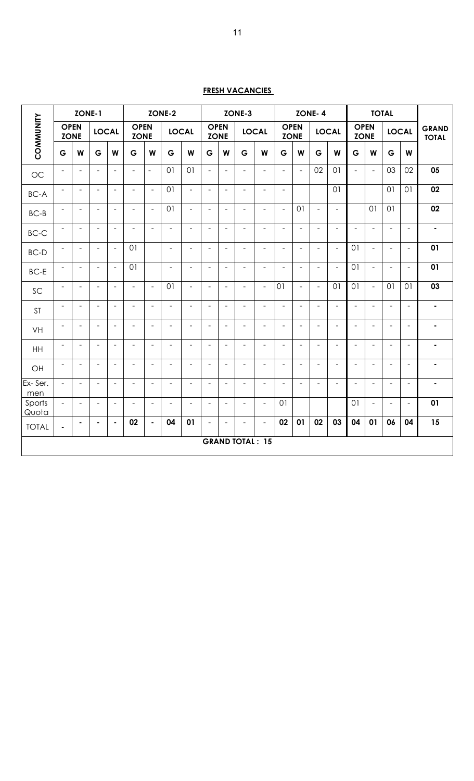# **FRESH VACANCIES**

|                 |                            | ZONE-1                   |                          |                          | ZONE-2                     |                          |                          |                          |                          | ZONE-3                     |                          |                          |                          | ZONE-4                     |                          |                          |                          | <b>TOTAL</b>               |                          |                          |                              |
|-----------------|----------------------------|--------------------------|--------------------------|--------------------------|----------------------------|--------------------------|--------------------------|--------------------------|--------------------------|----------------------------|--------------------------|--------------------------|--------------------------|----------------------------|--------------------------|--------------------------|--------------------------|----------------------------|--------------------------|--------------------------|------------------------------|
| COMMUNITY       | <b>OPEN</b><br><b>ZONE</b> |                          | <b>LOCAL</b>             |                          | <b>OPEN</b><br><b>ZONE</b> |                          |                          | <b>LOCAL</b>             |                          | <b>OPEN</b><br><b>ZONE</b> |                          | <b>LOCAL</b>             |                          | <b>OPEN</b><br><b>ZONE</b> |                          | <b>LOCAL</b>             |                          | <b>OPEN</b><br><b>ZONE</b> |                          | <b>LOCAL</b>             | <b>GRAND</b><br><b>TOTAL</b> |
|                 | G                          | W                        | G                        | W                        | G                          | W                        | G                        | W                        | G                        | W                          | G                        | W                        | G                        | W                          | G                        | W                        | G                        | W                          | G                        | W                        |                              |
| OC              | $\overline{\phantom{a}}$   | $\blacksquare$           | $\overline{\phantom{a}}$ | $\blacksquare$           | $\blacksquare$             | $\equiv$                 | 01                       | 01                       | $\bar{\phantom{a}}$      | $\blacksquare$             | $\blacksquare$           | $\blacksquare$           | $\overline{\phantom{a}}$ | $\overline{\phantom{a}}$   | 02                       | 01                       | $\blacksquare$           | $\blacksquare$             | 03                       | 02                       | $\overline{05}$              |
| <b>BC-A</b>     | $\overline{\phantom{a}}$   | $\overline{\phantom{a}}$ | ÷                        | $\overline{\phantom{a}}$ | $\overline{\phantom{a}}$   | $\blacksquare$           | 01                       | $\equiv$                 | $\overline{\phantom{a}}$ | $\overline{a}$             | $\overline{\phantom{a}}$ | $\overline{\phantom{a}}$ | $\overline{\phantom{a}}$ |                            |                          | 01                       |                          |                            | 01                       | 01                       | 02                           |
| $BC-B$          | $\overline{\phantom{a}}$   | $\overline{\phantom{a}}$ | ÷                        | $\overline{\phantom{a}}$ | $\overline{\phantom{a}}$   | $\blacksquare$           | 01                       | $\overline{\phantom{a}}$ | $\overline{\phantom{a}}$ | $\overline{\phantom{a}}$   | $\overline{\phantom{a}}$ | $\overline{\phantom{a}}$ | $\overline{\phantom{a}}$ | 01                         | $\equiv$                 | $\overline{\phantom{a}}$ |                          | 01                         | 01                       |                          | 02                           |
| BC-C            | $\overline{\phantom{a}}$   | $\sim$                   | $\blacksquare$           | $\overline{\phantom{a}}$ | $\blacksquare$             | $\blacksquare$           | $\frac{1}{2}$            | $\blacksquare$           | $\sim$                   | $\blacksquare$             | $\blacksquare$           | $\overline{\phantom{a}}$ | $\sim$                   | $\sim$                     | $\overline{\phantom{a}}$ | $\overline{\phantom{a}}$ | $\sim$                   | $\bar{\phantom{a}}$        | $\overline{\phantom{a}}$ | $\frac{1}{2}$            | $\blacksquare$               |
| <b>BC-D</b>     | $\overline{\phantom{a}}$   | $\overline{\phantom{a}}$ | $\overline{a}$           | $\overline{\phantom{a}}$ | 01                         |                          | $\frac{1}{2}$            | $\overline{\phantom{a}}$ | $\overline{\phantom{a}}$ | $\overline{a}$             | $\overline{\phantom{a}}$ | $\blacksquare$           | $\overline{a}$           | $\overline{\phantom{a}}$   | $\overline{\phantom{a}}$ | $\overline{\phantom{a}}$ | 01                       | $\equiv$                   | $\overline{\phantom{a}}$ | $\equiv$                 | 01                           |
| $BC-E$          | $\overline{a}$             | $\blacksquare$           | $\overline{a}$           | $\overline{\phantom{a}}$ | 01                         |                          | $\overline{a}$           | $\blacksquare$           | $\sim$                   | $\overline{a}$             | $\sim$                   | $\blacksquare$           | $\overline{a}$           | $\sim$                     | $\overline{\phantom{a}}$ | $\overline{\phantom{a}}$ | 01                       | $\overline{\phantom{a}}$   | $\overline{\phantom{a}}$ | $\equiv$                 | 01                           |
| SC              | $\overline{\phantom{a}}$   | $\overline{\phantom{a}}$ | $\overline{\phantom{a}}$ | $\overline{\phantom{a}}$ | $\blacksquare$             | $\blacksquare$           | 01                       | $\overline{\phantom{a}}$ | $\blacksquare$           | $\overline{a}$             | $\blacksquare$           | $\overline{\phantom{a}}$ | 01                       | $\overline{\phantom{a}}$   | $\equiv$                 | 01                       | 01                       | $\equiv$                   | 01                       | 01                       | 03                           |
| <b>ST</b>       | $\blacksquare$             | $\blacksquare$           | $\overline{\phantom{a}}$ | $\overline{\phantom{a}}$ | $\overline{\phantom{a}}$   | $\overline{\phantom{a}}$ | $\overline{\phantom{a}}$ | $\overline{\phantom{a}}$ | $\sim$                   | $\blacksquare$             | $\blacksquare$           | $\blacksquare$           | $\sim$                   | $\blacksquare$             | $\overline{\phantom{a}}$ | $\overline{\phantom{a}}$ | $\blacksquare$           | $\bar{\phantom{a}}$        | $\overline{\phantom{a}}$ | $\overline{\phantom{a}}$ | $\blacksquare$               |
| VH              | $\overline{\phantom{a}}$   | $\blacksquare$           | $\overline{\phantom{a}}$ | $\blacksquare$           | $\overline{\phantom{a}}$   | $\blacksquare$           | $\overline{\phantom{a}}$ | $\overline{\phantom{a}}$ | $\sim$                   | $\sim$                     | $\blacksquare$           | $\blacksquare$           | $\sim$                   | $\equiv$                   | $\overline{\phantom{a}}$ | $\overline{\phantom{a}}$ | $\blacksquare$           | $\blacksquare$             | $\overline{\phantom{a}}$ | $\bar{ }$                | $\blacksquare$               |
| HH              | $\overline{\phantom{a}}$   | $\equiv$                 | $\equiv$                 | $\equiv$                 | $\blacksquare$             | $\blacksquare$           | $\overline{\phantom{a}}$ | $\blacksquare$           | $\sim$                   | $\overline{a}$             | $\blacksquare$           | $\blacksquare$           | $\overline{\phantom{a}}$ | $\equiv$                   | $\equiv$                 | $\overline{\phantom{a}}$ | $\sim$                   | $\sim$                     | $\overline{\phantom{a}}$ | $\equiv$                 | $\blacksquare$               |
| OH              | $\blacksquare$             | $\overline{\phantom{a}}$ | $\blacksquare$           | $\overline{\phantom{a}}$ | $\overline{\phantom{a}}$   | $\overline{\phantom{a}}$ | $\overline{\phantom{a}}$ | $\overline{\phantom{a}}$ | $\overline{\phantom{a}}$ | $\overline{a}$             | $\overline{\phantom{a}}$ | $\overline{\phantom{a}}$ | $\overline{\phantom{a}}$ | $\overline{\phantom{a}}$   | $\overline{\phantom{a}}$ | $\overline{\phantom{a}}$ | $\overline{\phantom{a}}$ | $\blacksquare$             | $\overline{\phantom{a}}$ | $\bar{ }$                | $\blacksquare$               |
| Ex-Ser.<br>men  | $\equiv$                   | $\overline{\phantom{a}}$ | $\blacksquare$           | $\overline{\phantom{a}}$ | $\overline{\phantom{a}}$   | $\blacksquare$           | $\frac{1}{2}$            | $\overline{\phantom{a}}$ | $\overline{\phantom{a}}$ | $\overline{a}$             | $\overline{\phantom{a}}$ | $\overline{\phantom{a}}$ | $\overline{\phantom{a}}$ | $\overline{\phantom{a}}$   | $\overline{\phantom{a}}$ | $\blacksquare$           | $\overline{\phantom{a}}$ | $\blacksquare$             | $\overline{\phantom{a}}$ | $\bar{ }$                | $\blacksquare$               |
| Sports<br>Quota | $\equiv$                   | $\blacksquare$           | $\blacksquare$           | $\overline{\phantom{a}}$ | $\overline{\phantom{a}}$   | $\overline{\phantom{a}}$ | $\overline{\phantom{a}}$ | $\blacksquare$           | $\blacksquare$           | $\overline{a}$             | $\blacksquare$           | $\blacksquare$           | 01                       |                            |                          |                          | 01                       | $\blacksquare$             | $\blacksquare$           | $\blacksquare$           | 01                           |
| <b>TOTAL</b>    | $\blacksquare$             | $\blacksquare$           | $\blacksquare$           | $\blacksquare$           | 02                         | $\blacksquare$           | 04                       | 01                       | $\overline{\phantom{a}}$ | $\blacksquare$             | $\overline{\phantom{a}}$ | $\blacksquare$           | 02                       | 01                         | 02                       | 03                       | 04                       | 01                         | 06                       | 04                       | 15                           |
|                 |                            |                          |                          |                          |                            |                          |                          |                          |                          |                            |                          | <b>GRAND TOTAL: 15</b>   |                          |                            |                          |                          |                          |                            |                          |                          |                              |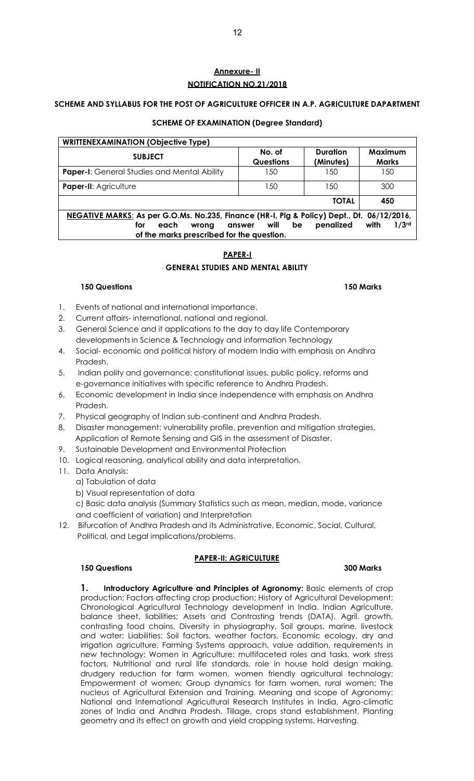# **Annexure- II NOTIFICATION NO.21/2018**

## **SCHEME AND SYLLABUS FOR THE POST OF AGRICULTURE OFFICER IN A.P. AGRICULTURE DAPARTMENT**

# **SCHEME OF EXAMINATION (Degree Standard)**

| <b>WRITTENEXAMINATION (Objective Type)</b>                                                 |                            |                              |                           |  |  |  |  |  |  |  |
|--------------------------------------------------------------------------------------------|----------------------------|------------------------------|---------------------------|--|--|--|--|--|--|--|
| <b>SUBJECT</b>                                                                             | No. of<br><b>Questions</b> | <b>Duration</b><br>(Minutes) | Maximum<br><b>Marks</b>   |  |  |  |  |  |  |  |
| <b>Paper-I:</b> General Studies and Mental Ability                                         | 150                        | l 50                         | 150                       |  |  |  |  |  |  |  |
| <b>Paper-II: Agriculture</b>                                                               | 150                        | 150                          | 300                       |  |  |  |  |  |  |  |
|                                                                                            |                            | <b>TOTAL</b>                 | 450                       |  |  |  |  |  |  |  |
| NEGATIVE MARKS: As per G.O.Ms. No.235, Finance (HR-1, Plg & Policy) Dept., Dt. 06/12/2016, |                            |                              |                           |  |  |  |  |  |  |  |
| each<br>for<br>wrong                                                                       | will<br>be<br>answer       | penalized                    | 1/3 <sup>rd</sup><br>with |  |  |  |  |  |  |  |
| of the marks prescribed for the question.                                                  |                            |                              |                           |  |  |  |  |  |  |  |

# **PAPER-I**

# **GENERAL STUDIES AND MENTAL ABILITY**

#### **150 Questions 150 Marks**

- 1. Events of national and international importance.
- 2. Current affairs- international, national and regional.
- 3. General Science and it applications to the day to day life Contemporary developments in Science & Technology and information Technology
- 4. Social- economic and political history of modern India with emphasis on Andhra Pradesh.
- 5. Indian polity and governance: constitutional issues, public policy, reforms and e-governance initiatives with specific reference to Andhra Pradesh.
- 6. Economic development in India since independence with emphasis on Andhra Pradesh.
- 7. Physical geography of Indian sub-continent and Andhra Pradesh.
- 8. Disaster management: vulnerability profile, prevention and mitigation strategies, Application of Remote Sensing and GIS in the assessment of Disaster.
- 9. Sustainable Development and Environmental Protection
- 10. Logical reasoning, analytical ability and data interpretation.
- 11. Data Analysis:
	- a) Tabulation of data
	- b) Visual representation of data

 c) Basic data analysis (Summary Statistics such as mean, median, mode, variance and coefficient of variation) and Interpretation

12. Bifurcation of Andhra Pradesh and its Administrative, Economic, Social, Cultural, Political, and Legal implications/problems.

# **PAPER-II: AGRICULTURE**

# **150 Questions 300 Marks**

**1. Introductory Agriculture and Principles of Agronomy:** Basic elements of crop production; Factors affecting crop production; History of Agricultural Development; Chronological Agricultural Technology development in India. Indian Agriculture, balance sheet, liabilities; Assets and Contrasting trends (DATA), Agril. growth, contrasting food chains, Diversity in physiography, Soil groups, marine, livestock and water; Liabilities: Soil factors, weather factors, Economic ecology, dry and irrigation agriculture, Farming Systems approach, value addition, requirements in new technology; Women in Agriculture: multifaceted roles and tasks, work stress factors, Nutritional and rural life standards, role in house hold design making, drudgery reduction for farm women, women friendly agricultural technology; Empowerment of women; Group dynamics for farm women, rural women; The nucleus of Agricultural Extension and Training. Meaning and scope of Agronomy: National and International Agricultural Research Institutes in India, Agro-climatic zones of India and Andhra Pradesh. Tillage, crops stand establishment, Planting geometry and its effect on growth and yield cropping systems, Harvesting.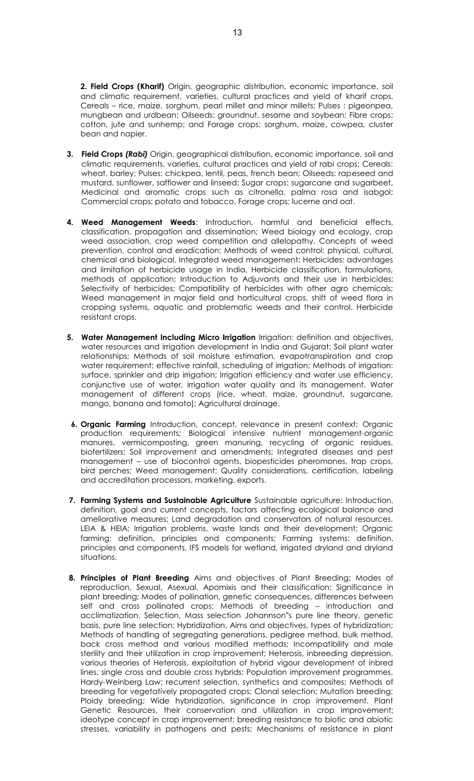**2. Field Crops (Kharif)** Origin, geographic distribution, economic importance, soil and climatic requirement, varieties, cultural practices and yield of kharif crops, Cereals – rice, maize, sorghum, pearl millet and minor millets; Pulses : pigeonpea, mungbean and urdbean; Oilseeds: groundnut, sesame and soybean; Fibre crops: cotton, jute and sunhemp; and Forage crops: sorghum, maize, cowpea, cluster bean and napier.

- **3. Field Crops** *(Rabi)* Origin, geographical distribution, economic importance, soil and climatic requirements, varieties, cultural practices and yield of rabi crops; Cereals: wheat, barley; Pulses: chickpea, lentil, peas, french bean; Oilseeds: rapeseed and mustard, sunflower, safflower and linseed; Sugar crops: sugarcane and sugarbeet, Medicinal and aromatic crops such as citronella, palma rosa and isabgol; Commercial crops: potato and tobacco, Forage crops: lucerne and oat.
- **4. Weed Management Weeds**: Introduction, harmful and beneficial effects, classification, propagation and dissemination; Weed biology and ecology, crop weed association, crop weed competition and allelopathy. Concepts of weed prevention, control and eradication; Methods of weed control: physical, cultural, chemical and biological. Integrated weed management; Herbicides: advantages and limitation of herbicide usage in India, Herbicide classification, formulations, methods of application; Introduction to Adjuvants and their use in herbicides; Selectivity of herbicides; Compatibility of herbicides with other agro chemicals; Weed management in major field and horticultural crops, shift of weed flora in cropping systems, aquatic and problematic weeds and their control. Herbicide resistant crops.
- **5. Water Management Including Micro Irrigation** Irrigation: definition and objectives, water resources and irrigation development in India and Gujarat; Soil plant water relationships; Methods of soil moisture estimation, evapotranspiration and crop water requirement; effective rainfall, scheduling of irrigation; Methods of irrigation: surface, sprinkler and drip irrigation; Irrigation efficiency and water use efficiency, conjunctive use of water, irrigation water quality and its management. Water management of different crops (rice, wheat, maize, groundnut, sugarcane, mango, banana and tomato); Agricultural drainage.
- **6. Organic Farming** Introduction, concept, relevance in present context; Organic production requirements; Biological intensive nutrient management-organic manures, vermicomposting, green manuring, recycling of organic residues, biofertilizers; Soil improvement and amendments; Integrated diseases and pest management – use of biocontrol agents, biopesticides pheromones, trap crops, bird perches; Weed management; Quality considerations, certification, labeling and accreditation processors, marketing, exports.
- **7. Farming Systems and Sustainable Agriculture** Sustainable agriculture: Introduction, definition, goal and current concepts, factors affecting ecological balance and ameliorative measures; Land degradation and conservators of natural resources, LEIA & HEIA; Irrigation problems, waste lands and their development; Organic farming: definition, principles and components; Farming systems: definition, principles and components, IFS models for wetland, irrigated dryland and dryland situations.
- **8. Principles of Plant Breeding** Aims and objectives of Plant Breeding; Modes of reproduction, Sexual, Asexual, Apomixis and their classification; Significance in plant breeding; Modes of pollination, genetic consequences, differences between self and cross pollinated crops; Methods of breeding – introduction and acclimatization. Selection, Mass selection Johannson"s pure line theory, genetic basis, pure line selection; Hybridization, Aims and objectives, types of hybridization; Methods of handling of segregating generations, pedigree method, bulk method, back cross method and various modified methods; Incompatibility and male sterility and their utilization in crop improvement; Heterosis, inbreeding depression, various theories of Heterosis, exploitation of hybrid vigour development of inbred lines, single cross and double cross hybrids; Population improvement programmes, Hardy-Weinberg Law; recurrent selection, synthetics and composites; Methods of breeding for vegetatively propagated crops; Clonal selection; Mutation breeding; Ploidy breeding; Wide hybridization, significance in crop improvement. Plant Genetic Resources, their conservation and utilization in crop improvement; ideotype concept in crop improvement; breeding resistance to biotic and abiotic stresses, variability in pathogens and pests; Mechanisms of resistance in plant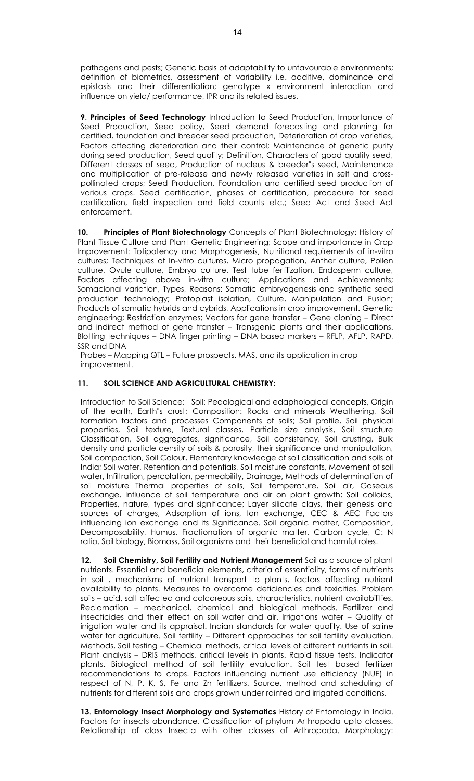pathogens and pests; Genetic basis of adaptability to unfavourable environments; definition of biometrics, assessment of variability i.e. additive, dominance and epistasis and their differentiation; genotype x environment interaction and influence on yield/ performance, IPR and its related issues.

**9**. **Principles of Seed Technology** Introduction to Seed Production, Importance of Seed Production, Seed policy, Seed demand forecasting and planning for certified, foundation and breeder seed production, Deterioration of crop varieties, Factors affecting deterioration and their control; Maintenance of genetic purity during seed production, Seed quality; Definition, Characters of good quality seed, Different classes of seed, Production of nucleus & breeder"s seed, Maintenance and multiplication of pre-release and newly released varieties in self and crosspollinated crops; Seed Production, Foundation and certified seed production of various crops. Seed certification, phases of certification, procedure for seed certification, field inspection and field counts etc.; Seed Act and Seed Act enforcement.

**10. Principles of Plant Biotechnology** Concepts of Plant Biotechnology: History of Plant Tissue Culture and Plant Genetic Engineering; Scope and importance in Crop Improvement: Totipotency and Morphogenesis, Nutritional requirements of in-vitro cultures; Techniques of In-vitro cultures, Micro propagation, Anther culture, Pollen culture, Ovule culture, Embryo culture, Test tube fertilization, Endosperm culture, Factors affecting above in-vitro culture; Applications and Achievements; Somaclonal variation, Types, Reasons: Somatic embryogenesis and synthetic seed production technology; Protoplast isolation, Culture, Manipulation and Fusion; Products of somatic hybrids and cybrids, Applications in crop improvement. Genetic engineering; Restriction enzymes; Vectors for gene transfer – Gene cloning – Direct and indirect method of gene transfer – Transgenic plants and their applications. Blotting techniques – DNA finger printing – DNA based markers – RFLP, AFLP, RAPD, SSR and DNA

Probes – Mapping QTL – Future prospects. MAS, and its application in crop improvement.

# **11. SOIL SCIENCE AND AGRICULTURAL CHEMISTRY:**

Introduction to Soil Science: Soil: Pedological and edaphological concepts, Origin of the earth, Earth"s crust; Composition: Rocks and minerals Weathering, Soil formation factors and processes Components of soils; Soil profile, Soil physical properties, Soil texture, Textural classes, Particle size analysis, Soil structure Classification, Soil aggregates, significance, Soil consistency, Soil crusting, Bulk density and particle density of soils & porosity, their significance and manipulation, Soil compaction, Soil Colour, Elementary knowledge of soil classification and soils of India; Soil water, Retention and potentials, Soil moisture constants, Movement of soil water, Infiltration, percolation, permeability, Drainage, Methods of determination of soil moisture Thermal properties of soils, Soil temperature, Soil air, Gaseous exchange, Influence of soil temperature and air on plant growth; Soil colloids, Properties, nature, types and significance; Layer silicate clays, their genesis and sources of charges, Adsorption of ions, Ion exchange, CEC & AEC Factors influencing ion exchange and its Significance. Soil organic matter, Composition, Decomposability, Humus, Fractionation of organic matter, Carbon cycle, C: N ratio. Soil biology, Biomass, Soil organisms and their beneficial and harmful roles.

**12. Soil Chemistry, Soil Fertility and Nutrient Management** Soil as a source of plant nutrients. Essential and beneficial elements, criteria of essentiality, forms of nutrients in soil , mechanisms of nutrient transport to plants, factors affecting nutrient availability to plants. Measures to overcome deficiencies and toxicities. Problem soils – acid, salt affected and calcareous soils, characteristics, nutrient availabilities. Reclamation – mechanical, chemical and biological methods. Fertilizer and insecticides and their effect on soil water and air. Irrigations water – Quality of irrigation water and its appraisal. Indian standards for water quality. Use of saline water for agriculture. Soil fertility – Different approaches for soil fertility evaluation. Methods, Soil testing – Chemical methods, critical levels of different nutrients in soil. Plant analysis – DRIS methods, critical levels in plants. Rapid tissue tests. Indicator plants. Biological method of soil fertility evaluation. Soil test based fertilizer recommendations to crops. Factors influencing nutrient use efficiency (NUE) in respect of N, P, K, S, Fe and Zn fertilizers. Source, method and scheduling of nutrients for different soils and crops grown under rainfed and irrigated conditions.

**13**. **Entomology Insect Morphology and Systematics** History of Entomology in India. Factors for insects abundance. Classification of phylum Arthropoda upto classes. Relationship of class Insecta with other classes of Arthropoda. Morphology: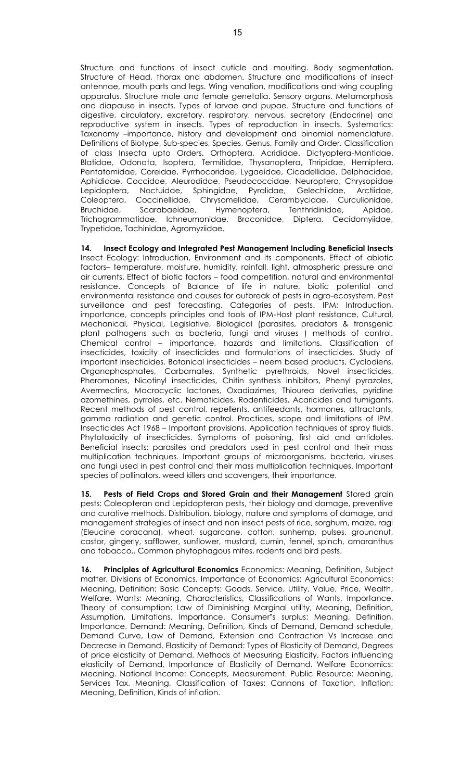Structure and functions of insect cuticle and moulting. Body segmentation. Structure of Head, thorax and abdomen. Structure and modifications of insect antennae, mouth parts and legs. Wing venation, modifications and wing coupling apparatus. Structure male and female genetalia. Sensory organs. Metamorphosis and diapause in insects. Types of larvae and pupae. Structure and functions of digestive, circulatory, excretory, respiratory, nervous, secretory (Endocrine) and reproductive system in insects. Types of reproduction in insects. Systematics: Taxonomy –importance, history and development and binomial nomenclature. Definitions of Biotype, Sub-species, Species, Genus, Family and Order. Classification of class Insecta upto Orders. Orthoptera, Acrididae. Dictyoptera-Mantidae, Blatidae, Odonata, Isoptera, Termitidae, Thysanoptera, Thripidae, Hemiptera, Pentatomidae, Coreidae, Pyrrhocoridae, Lygaeidae, Cicadellidae, Delphacidae, Aphididae, Coccidae, Aleurodidae, Pseudococcidae, Neuroptera, Chrysopidae Lepidoptera, Noctuidae, Sphingidae, Pyralidae, Gelechiidae, Arctiidae, Coleoptera, Coccinellidae, Chrysomelidae, Cerambycidae, Curculionidae, Bruchidae, Scarabaeidae, Hymenoptera, Tenthridinidae, Apidae, Trichogrammatidae, Ichneumonidae, Braconidae, Diptera, Cecidomyiidae, Trypetidae, Tachinidae, Agromyziidae.

**14. Insect Ecology and Integrated Pest Management Including Beneficial Insects**  Insect Ecology: Introduction, Environment and its components. Effect of abiotic factors– temperature, moisture, humidity, rainfall, light, atmospheric pressure and air currents. Effect of biotic factors – food competition, natural and environmental resistance. Concepts of Balance of life in nature, biotic potential and environmental resistance and causes for outbreak of pests in agro-ecosystem. Pest surveillance and pest forecasting. Categories of pests. IPM; Introduction, importance, concepts principles and tools of IPM-Host plant resistance, Cultural, Mechanical, Physical, Legislative, Biological (parasites, predators & transgenic plant pathogens such as bacteria, fungi and viruses ) methods of control. Chemical control – importance, hazards and limitations. Classification of insecticides, toxicity of insecticides and formulations of insecticides. Study of important insecticides. Botanical insecticides – neem based products, Cyclodiens, Organophosphates, Carbamates, Synthetic pyrethroids, Novel insecticides, Pheromones, Nicotinyl insecticides, Chitin synthesis inhibitors, Phenyl pyrazoles, Avermectins, Macrocyclic lactones, Oxadiazimes, Thiourea derivaties, pyridine azomethines, pyrroles, etc. Nematicides, Rodenticides, Acaricides and fumigants. Recent methods of pest control, repellents, antifeedants, hormones, attractants, gamma radiation and genetic control. Practices, scope and limitations of IPM. Insecticides Act 1968 – Important provisions. Application techniques of spray fluids. Phytotoxicity of insecticides. Symptoms of poisoning, first aid and antidotes. Beneficial insects: parasites and predators used in pest control and their mass multiplication techniques. Important groups of microorganisms, bacteria, viruses and fungi used in pest control and their mass multiplication techniques. Important species of pollinators, weed killers and scavengers, their importance.

**15. Pests of Field Crops and Stored Grain and their Management** Stored grain pests: Coleopteran and Lepidopteran pests, their biology and damage, preventive and curative methods. Distribution, biology, nature and symptoms of damage, and management strategies of insect and non insect pests of rice, sorghum, maize, ragi (Eleucine coracana), wheat, sugarcane, cotton, sunhemp, pulses, groundnut, castor, gingerly, safflower, sunflower, mustard, cumin, fennel, spinch, amaranthus and tobacco,. Common phytophagous mites, rodents and bird pests.

**16. Principles of Agricultural Economics** Economics: Meaning, Definition, Subject matter, Divisions of Economics, Importance of Economics; Agricultural Economics: Meaning, Definition; Basic Concepts: Goods, Service, Utility, Value, Price, Wealth, Welfare. Wants: Meaning, Characteristics, Classifications of Wants, Importance. Theory of consumption: Law of Diminishing Marginal utility, Meaning, Definition, Assumption, Limitations, Importance. Consumer"s surplus: Meaning, Definition, Importance. Demand: Meaning, Definition, Kinds of Demand, Demand schedule, Demand Curve, Law of Demand, Extension and Contraction Vs Increase and Decrease in Demand. Elasticity of Demand: Types of Elasticity of Demand, Degrees of price elasticity of Demand, Methods of Measuring Elasticity, Factors influencing elasticity of Demand, Importance of Elasticity of Demand. Welfare Economics: Meaning. National Income: Concepts, Measurement. Public Resource: Meaning, Services Tax, Meaning, Classification of Taxes: Cannons of Taxation, Inflation: Meaning, Definition, Kinds of inflation.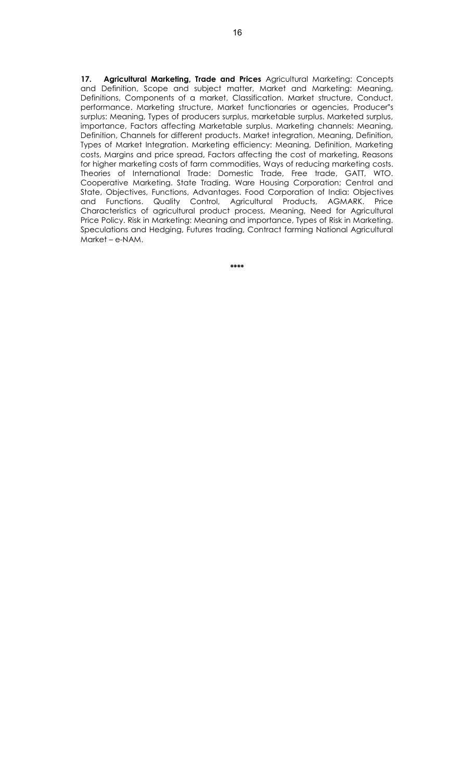**17. Agricultural Marketing, Trade and Prices** Agricultural Marketing: Concepts and Definition, Scope and subject matter, Market and Marketing: Meaning, Definitions, Components of a market, Classification. Market structure, Conduct, performance. Marketing structure, Market functionaries or agencies, Producer"s surplus: Meaning, Types of producers surplus, marketable surplus. Marketed surplus, importance, Factors affecting Marketable surplus. Marketing channels: Meaning, Definition, Channels for different products. Market integration, Meaning, Definition, Types of Market Integration. Marketing efficiency: Meaning, Definition, Marketing costs, Margins and price spread, Factors affecting the cost of marketing, Reasons for higher marketing costs of farm commodities, Ways of reducing marketing costs. Theories of International Trade: Domestic Trade, Free trade, GATT, WTO. Cooperative Marketing. State Trading. Ware Housing Corporation; Central and State, Objectives, Functions, Advantages. Food Corporation of India: Objectives and Functions. Quality Control, Agricultural Products, AGMARK. Price Characteristics of agricultural product process, Meaning, Need for Agricultural Price Policy. Risk in Marketing: Meaning and importance, Types of Risk in Marketing. Speculations and Hedging, Futures trading, Contract farming National Agricultural Market – e-NAM.

**\*\*\*\***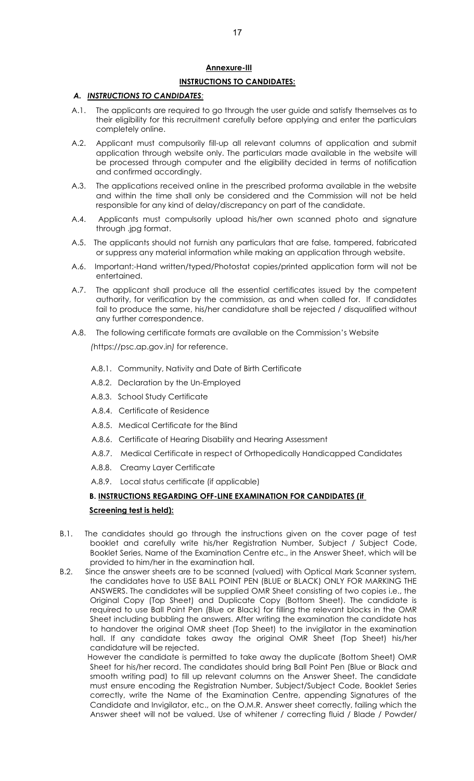# **Annexure-III**

# **INSTRUCTIONS TO CANDIDATES:**

# *A. INSTRUCTIONS TO CANDIDATES:*

- A.1. The applicants are required to go through the user guide and satisfy themselves as to their eligibility for this recruitment carefully before applying and enter the particulars completely online.
- A.2. Applicant must compulsorily fill-up all relevant columns of application and submit application through website only. The particulars made available in the website will be processed through computer and the eligibility decided in terms of notification and confirmed accordingly.
- A.3. The applications received online in the prescribed proforma available in the website and within the time shall only be considered and the Commission will not be held responsible for any kind of delay/discrepancy on part of the candidate.
- A.4. Applicants must compulsorily upload his/her own scanned photo and signature through .jpg format.
- A.5. The applicants should not furnish any particulars that are false, tampered, fabricated or suppress any material information while making an application through website.
- A.6. Important:-Hand written/typed/Photostat copies/printed application form will not be entertained.
- A.7. The applicant shall produce all the essential certificates issued by the competent authority, for verification by the commission, as and when called for. If candidates fail to produce the same, his/her candidature shall be rejected / disqualified without any further correspondence.
- A.8. The following certificate formats are available on the Commission's Website

*(*https://psc.ap.gov.in*)* for reference.

- A.8.1. Community, Nativity and Date of Birth Certificate
- A.8.2. Declaration by the Un-Employed
- A.8.3. School Study Certificate
- A.8.4. Certificate of Residence
- A.8.5. Medical Certificate for the Blind
- A.8.6. Certificate of Hearing Disability and Hearing Assessment
- A.8.7. Medical Certificate in respect of Orthopedically Handicapped Candidates
- A.8.8. Creamy Layer Certificate
- A.8.9. Local status certificate (if applicable)

#### **B. INSTRUCTIONS REGARDING OFF-LINE EXAMINATION FOR CANDIDATES (if**

#### **Screening test is held):**

- B.1. The candidates should go through the instructions given on the cover page of test booklet and carefully write his/her Registration Number, Subject / Subject Code, Booklet Series, Name of the Examination Centre etc., in the Answer Sheet, which will be provided to him/her in the examination hall.
- B.2. Since the answer sheets are to be scanned (valued) with Optical Mark Scanner system, the candidates have to USE BALL POINT PEN (BLUE or BLACK) ONLY FOR MARKING THE ANSWERS. The candidates will be supplied OMR Sheet consisting of two copies i.e., the Original Copy (Top Sheet) and Duplicate Copy (Bottom Sheet). The candidate is required to use Ball Point Pen (Blue or Black) for filling the relevant blocks in the OMR Sheet including bubbling the answers. After writing the examination the candidate has to handover the original OMR sheet (Top Sheet) to the invigilator in the examination hall. If any candidate takes away the original OMR Sheet (Top Sheet) his/her candidature will be rejected.

 However the candidate is permitted to take away the duplicate (Bottom Sheet) OMR Sheet for his/her record. The candidates should bring Ball Point Pen (Blue or Black and smooth writing pad) to fill up relevant columns on the Answer Sheet. The candidate must ensure encoding the Registration Number, Subject/Subject Code, Booklet Series correctly, write the Name of the Examination Centre, appending Signatures of the Candidate and Invigilator, etc., on the O.M.R. Answer sheet correctly, failing which the Answer sheet will not be valued. Use of whitener / correcting fluid / Blade / Powder/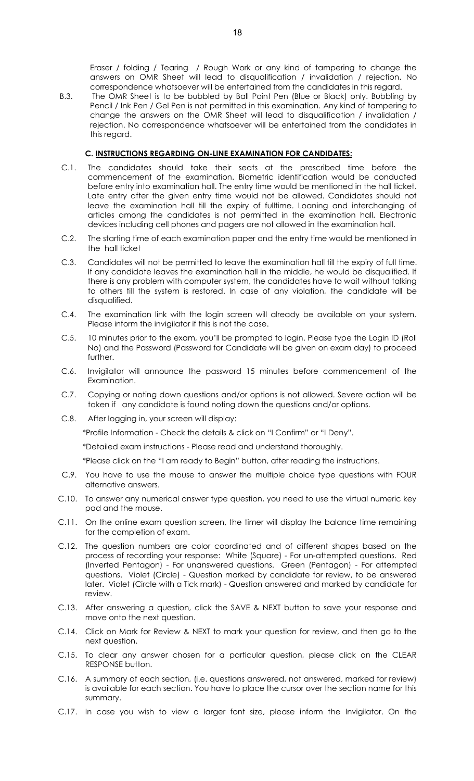Eraser / folding / Tearing / Rough Work or any kind of tampering to change the answers on OMR Sheet will lead to disqualification / invalidation / rejection. No correspondence whatsoever will be entertained from the candidates in this regard.

B.3. The OMR Sheet is to be bubbled by Ball Point Pen (Blue or Black) only. Bubbling by Pencil / Ink Pen / Gel Pen is not permitted in this examination. Any kind of tampering to change the answers on the OMR Sheet will lead to disqualification / invalidation / rejection. No correspondence whatsoever will be entertained from the candidates in this regard.

# **C. INSTRUCTIONS REGARDING ON-LINE EXAMINATION FOR CANDIDATES:**

- C.1. The candidates should take their seats at the prescribed time before the commencement of the examination. Biometric identification would be conducted before entry into examination hall. The entry time would be mentioned in the hall ticket. Late entry after the given entry time would not be allowed. Candidates should not leave the examination hall till the expiry of fulltime. Loaning and interchanging of articles among the candidates is not permitted in the examination hall. Electronic devices including cell phones and pagers are not allowed in the examination hall.
- C.2. The starting time of each examination paper and the entry time would be mentioned in the hall ticket
- C.3. Candidates will not be permitted to leave the examination hall till the expiry of full time. If any candidate leaves the examination hall in the middle, he would be disqualified. If there is any problem with computer system, the candidates have to wait without talking to others till the system is restored. In case of any violation, the candidate will be disqualified.
- C.4. The examination link with the login screen will already be available on your system. Please inform the invigilator if this is not the case.
- C.5. 10 minutes prior to the exam, you'll be prompted to login. Please type the Login ID (Roll No) and the Password (Password for Candidate will be given on exam day) to proceed further.
- C.6. Invigilator will announce the password 15 minutes before commencement of the Examination.
- C.7. Copying or noting down questions and/or options is not allowed. Severe action will be taken if any candidate is found noting down the questions and/or options.
- C.8. After logging in, your screen will display:

\*Profile Information - Check the details & click on "I Confirm" or "I Deny".

\*Detailed exam instructions - Please read and understand thoroughly.

\*Please click on the "I am ready to Begin" button, after reading the instructions.

- C.9. You have to use the mouse to answer the multiple choice type questions with FOUR alternative answers.
- C.10. To answer any numerical answer type question, you need to use the virtual numeric key pad and the mouse.
- C.11. On the online exam question screen, the timer will display the balance time remaining for the completion of exam.
- C.12. The question numbers are color coordinated and of different shapes based on the process of recording your response: White (Square) - For un-attempted questions. Red (Inverted Pentagon) - For unanswered questions. Green (Pentagon) - For attempted questions. Violet (Circle) - Question marked by candidate for review, to be answered later. Violet (Circle with a Tick mark) - Question answered and marked by candidate for review.
- C.13. After answering a question, click the SAVE & NEXT button to save your response and move onto the next question.
- C.14. Click on Mark for Review & NEXT to mark your question for review, and then go to the next question.
- C.15. To clear any answer chosen for a particular question, please click on the CLEAR RESPONSE button.
- C.16. A summary of each section, (i.e. questions answered, not answered, marked for review) is available for each section. You have to place the cursor over the section name for this summary.
- C.17. In case you wish to view a larger font size, please inform the Invigilator. On the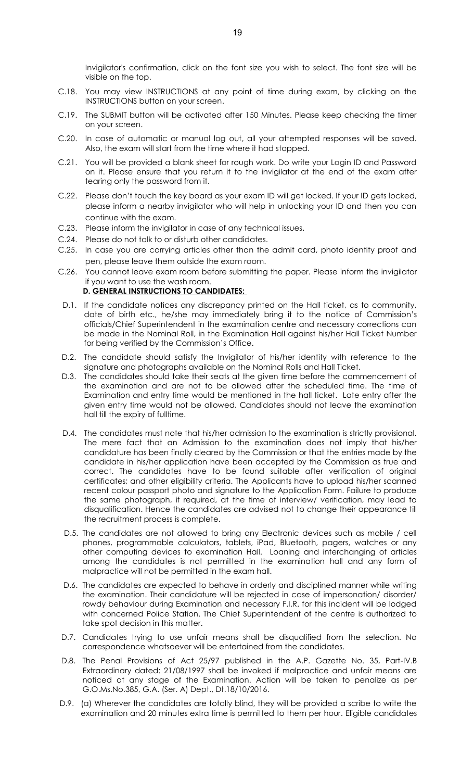Invigilator's confirmation, click on the font size you wish to select. The font size will be visible on the top.

- C.18. You may view INSTRUCTIONS at any point of time during exam, by clicking on the INSTRUCTIONS button on your screen.
- C.19. The SUBMIT button will be activated after 150 Minutes. Please keep checking the timer on your screen.
- C.20. In case of automatic or manual log out, all your attempted responses will be saved. Also, the exam will start from the time where it had stopped.
- C.21. You will be provided a blank sheet for rough work. Do write your Login ID and Password on it. Please ensure that you return it to the invigilator at the end of the exam after tearing only the password from it.
- C.22. Please don't touch the key board as your exam ID will get locked. If your ID gets locked, please inform a nearby invigilator who will help in unlocking your ID and then you can continue with the exam.
- C.23. Please inform the invigilator in case of any technical issues.
- C.24. Please do not talk to or disturb other candidates.
- C.25. In case you are carrying articles other than the admit card, photo identity proof and pen, please leave them outside the exam room.
- C.26. You cannot leave exam room before submitting the paper. Please inform the invigilator if you want to use the wash room.

#### **D. GENERAL INSTRUCTIONS TO CANDIDATES:**

- D.1. If the candidate notices any discrepancy printed on the Hall ticket, as to community, date of birth etc., he/she may immediately bring it to the notice of Commission's officials/Chief Superintendent in the examination centre and necessary corrections can be made in the Nominal Roll, in the Examination Hall against his/her Hall Ticket Number for being verified by the Commission's Office.
- D.2. The candidate should satisfy the Invigilator of his/her identity with reference to the signature and photographs available on the Nominal Rolls and Hall Ticket.
- D.3. The candidates should take their seats at the given time before the commencement of the examination and are not to be allowed after the scheduled time. The time of Examination and entry time would be mentioned in the hall ticket. Late entry after the given entry time would not be allowed. Candidates should not leave the examination hall till the expiry of fulltime.
- D.4. The candidates must note that his/her admission to the examination is strictly provisional. The mere fact that an Admission to the examination does not imply that his/her candidature has been finally cleared by the Commission or that the entries made by the candidate in his/her application have been accepted by the Commission as true and correct. The candidates have to be found suitable after verification of original certificates; and other eligibility criteria. The Applicants have to upload his/her scanned recent colour passport photo and signature to the Application Form. Failure to produce the same photograph, if required, at the time of interview/ verification, may lead to disqualification. Hence the candidates are advised not to change their appearance till the recruitment process is complete.
- D.5. The candidates are not allowed to bring any Electronic devices such as mobile / cell phones, programmable calculators, tablets, iPad, Bluetooth, pagers, watches or any other computing devices to examination Hall. Loaning and interchanging of articles among the candidates is not permitted in the examination hall and any form of malpractice will not be permitted in the exam hall.
- D.6. The candidates are expected to behave in orderly and disciplined manner while writing the examination. Their candidature will be rejected in case of impersonation/ disorder/ rowdy behaviour during Examination and necessary F.I.R. for this incident will be lodged with concerned Police Station. The Chief Superintendent of the centre is authorized to take spot decision in this matter.
- D.7. Candidates trying to use unfair means shall be disqualified from the selection. No correspondence whatsoever will be entertained from the candidates.
- D.8. The Penal Provisions of Act 25/97 published in the A.P. Gazette No. 35, Part-IV.B Extraordinary dated: 21/08/1997 shall be invoked if malpractice and unfair means are noticed at any stage of the Examination. Action will be taken to penalize as per G.O.Ms.No.385, G.A. (Ser. A) Dept., Dt.18/10/2016.
- D.9. (a) Wherever the candidates are totally blind, they will be provided a scribe to write the examination and 20 minutes extra time is permitted to them per hour. Eligible candidates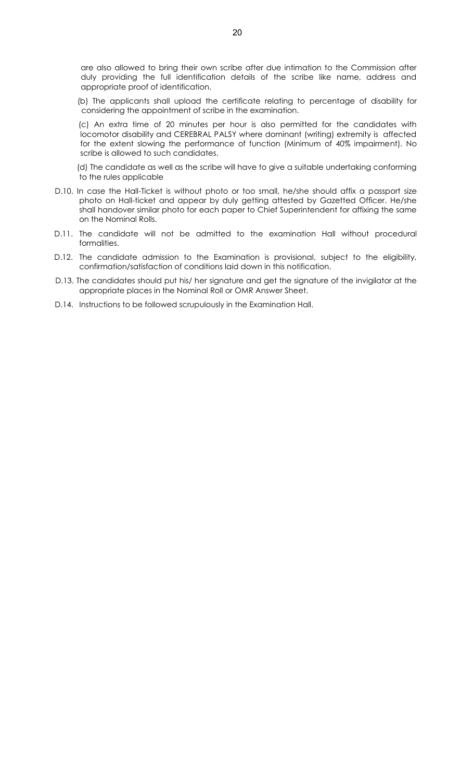are also allowed to bring their own scribe after due intimation to the Commission after duly providing the full identification details of the scribe like name, address and appropriate proof of identification.

 (b) The applicants shall upload the certificate relating to percentage of disability for considering the appointment of scribe in the examination.

 (c) An extra time of 20 minutes per hour is also permitted for the candidates with locomotor disability and CEREBRAL PALSY where dominant (writing) extremity is affected for the extent slowing the performance of function (Minimum of 40% impairment). No scribe is allowed to such candidates.

 (d) The candidate as well as the scribe will have to give a suitable undertaking conforming to the rules applicable

- D.10. In case the Hall-Ticket is without photo or too small, he/she should affix a passport size photo on Hall-ticket and appear by duly getting attested by Gazetted Officer. He/she shall handover similar photo for each paper to Chief Superintendent for affixing the same on the Nominal Rolls.
- D.11. The candidate will not be admitted to the examination Hall without procedural formalities.
- D.12. The candidate admission to the Examination is provisional, subject to the eligibility, confirmation/satisfaction of conditions laid down in this notification.
- D.13. The candidates should put his/ her signature and get the signature of the invigilator at the appropriate places in the Nominal Roll or OMR Answer Sheet.
- D.14. Instructions to be followed scrupulously in the Examination Hall.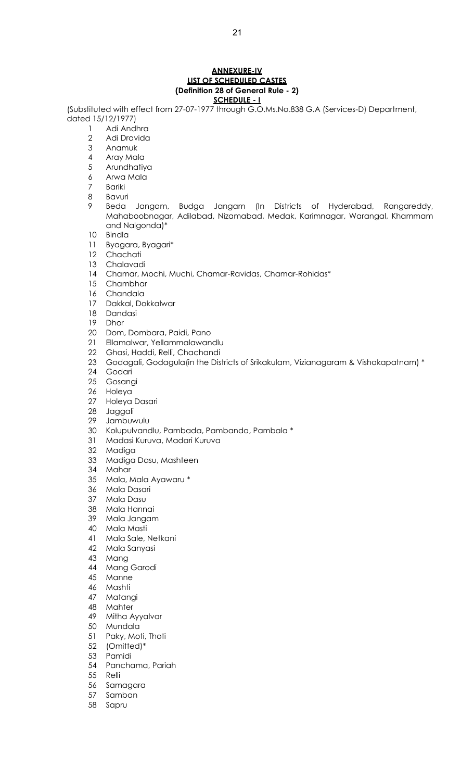#### **ANNEXURE-IV LIST OF SCHEDULED CASTES (Definition 28 of General Rule - 2) SCHEDULE - I**

(Substituted with effect from 27-07-1977 through G.O.Ms.No.838 G.A (Services-D) Department, dated 15/12/1977)

- Adi Andhra
- Adi Dravida
- Anamuk
- Aray Mala
- Arundhatiya
- Arwa Mala
- Bariki
- Bavuri
- Beda Jangam, Budga Jangam (In Districts of Hyderabad, Rangareddy, Mahaboobnagar, Adilabad, Nizamabad, Medak, Karimnagar, Warangal, Khammam and Nalgonda)\*
- Bindla
- Byagara, Byagari\*
- Chachati
- Chalavadi
- Chamar, Mochi, Muchi, Chamar-Ravidas, Chamar-Rohidas\*
- Chambhar
- Chandala
- Dakkal, Dokkalwar
- 18 Dandasi<br>19 Dhor
- Dhor
- Dom, Dombara, Paidi, Pano
- Ellamalwar, Yellammalawandlu
- Ghasi, Haddi, Relli, Chachandi
- 23 Godagali, Godagula(in the Districts of Srikakulam, Vizianagaram & Vishakapatnam) \*
- Godari
- Gosangi
- Holeya
- Holeya Dasari
- Jaggali
- Jambuwulu
- Kolupulvandlu, Pambada, Pambanda, Pambala \*
- Madasi Kuruva, Madari Kuruva
- Madiga
- Madiga Dasu, Mashteen
- Mahar
- Mala, Mala Ayawaru \*
- Mala Dasari
- Mala Dasu
- Mala Hannai
- Mala Jangam
- Mala Masti
- Mala Sale, Netkani
- Mala Sanyasi
- Mang
- Mang Garodi
- Manne
- Mashti
- Matangi
- Mahter
- Mitha Ayyalvar
- Mundala
- Paky, Moti, Thoti
- (Omitted)\*
- Pamidi
- Panchama, Pariah
- Relli
- Samagara
- Samban
- Sapru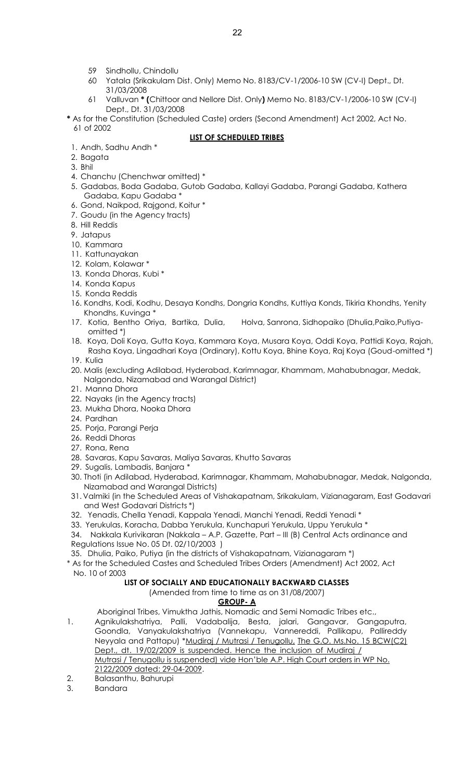- 59 Sindhollu, Chindollu
- 60 Yatala (Srikakulam Dist. Only) Memo No. 8183/CV-1/2006-10 SW (CV-I) Dept., Dt. 31/03/2008
- 61 Valluvan **\* (**Chittoor and Nellore Dist. Only**)** Memo No. 8183/CV-1/2006-10 SW (CV-I) Dept., Dt. 31/03/2008
- **\*** As for the Constitution (Scheduled Caste) orders (Second Amendment) Act 2002, Act No. 61 of 2002

## **LIST OF SCHEDULED TRIBES**

- 1. Andh, Sadhu Andh \*
- 2. Bagata
- 3. Bhil
- 4. Chanchu (Chenchwar omitted) \*
- 5. Gadabas, Boda Gadaba, Gutob Gadaba, Kallayi Gadaba, Parangi Gadaba, Kathera Gadaba, Kapu Gadaba \*
- 6. Gond, Naikpod, Rajgond, Koitur \*
- 7. Goudu (in the Agency tracts)
- 8. Hill Reddis
- 9. Jatapus
- 10. Kammara
- 11. Kattunayakan
- 12. Kolam, Kolawar \*
- 13. Konda Dhoras, Kubi \*
- 14. Konda Kapus
- 15. Konda Reddis
- 16. Kondhs, Kodi, Kodhu, Desaya Kondhs, Dongria Kondhs, Kuttiya Konds, Tikiria Khondhs, Yenity Khondhs, Kuvinga \*
- 17. Kotia, Bentho Oriya, Bartika, Dulia, Holva, Sanrona, Sidhopaiko (Dhulia,Paiko,Putiyaomitted \*)
- 18. Koya, Doli Koya, Gutta Koya, Kammara Koya, Musara Koya, Oddi Koya, Pattidi Koya, Rajah, Rasha Koya, Lingadhari Koya (Ordinary), Kottu Koya, Bhine Koya, Raj Koya (Goud-omitted \*) 19. Kulia
- 
- 20. Malis (excluding Adilabad, Hyderabad, Karimnagar, Khammam, Mahabubnagar, Medak, Nalgonda, Nizamabad and Warangal District)
- 21. Manna Dhora
- 22. Nayaks (in the Agency tracts)
- 23. Mukha Dhora, Nooka Dhora
- 24. Pardhan
- 25. Porja, Parangi Perja
- 26. Reddi Dhoras
- 27. Rona, Rena
- 28. Savaras, Kapu Savaras, Maliya Savaras, Khutto Savaras
- 29. Sugalis, Lambadis, Banjara \*
- 30. Thoti (in Adilabad, Hyderabad, Karimnagar, Khammam, Mahabubnagar, Medak, Nalgonda, Nizamabad and Warangal Districts)
- 31. Valmiki (in the Scheduled Areas of Vishakapatnam, Srikakulam, Vizianagaram, East Godavari and West Godavari Districts \*)
- 32. Yenadis, Chella Yenadi, Kappala Yenadi, Manchi Yenadi, Reddi Yenadi \*
- 33. Yerukulas, Koracha, Dabba Yerukula, Kunchapuri Yerukula, Uppu Yerukula \*

34. Nakkala Kurivikaran (Nakkala – A.P. Gazette, Part – III (B) Central Acts ordinance and Regulations Issue No. 05 Dt. 02/10/2003 )

35. Dhulia, Paiko, Putiya (in the districts of Vishakapatnam, Vizianagaram \*)

\* As for the Scheduled Castes and Scheduled Tribes Orders (Amendment) Act 2002, Act No. 10 of 2003

#### **LIST OF SOCIALLY AND EDUCATIONALLY BACKWARD CLASSES**

(Amended from time to time as on 31/08/2007)

#### **GROUP- A**

Aboriginal Tribes, Vimuktha Jathis, Nomadic and Semi Nomadic Tribes etc.,

- 1. Agnikulakshatriya, Palli, Vadabalija, Besta, jalari, Gangavar, Gangaputra, Goondla, Vanyakulakshatriya (Vannekapu, Vannereddi, Pallikapu, Pallireddy Neyyala and Pattapu) \*Mudiraj / Mutrasi / Tenugollu, The G.O. Ms.No. 15 BCW(C2) Dept., dt. 19/02/2009 is suspended. Hence the inclusion of Mudiraj / Mutrasi / Tenugollu is suspended) vide Hon'ble A.P. High Court orders in WP No. 2122/2009 dated: 29-04-2009.
- 2. Balasanthu, Bahurupi
- 3. Bandara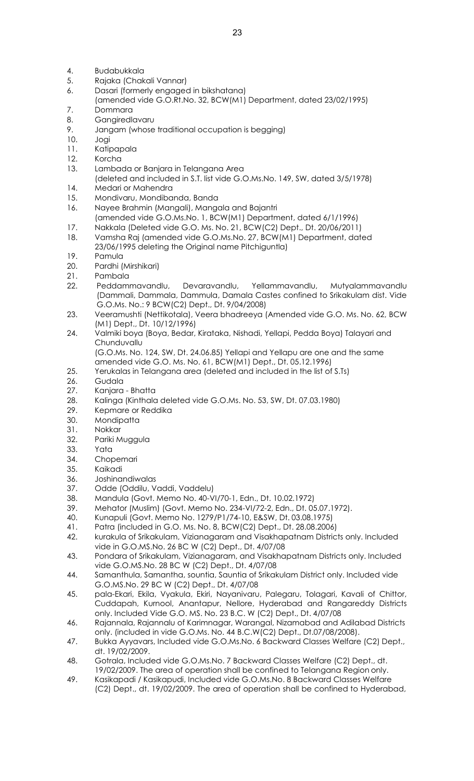- 4. Budabukkala
- 5. Rajaka (Chakali Vannar)
- 6. Dasari (formerly engaged in bikshatana)
- (amended vide G.O.Rt.No. 32, BCW(M1) Department, dated 23/02/1995)
- 7. Dommara
- 8. Gangiredlavaru
- 9. Jangam (whose traditional occupation is begging)
- 10. Jogi
- 11. Katipapala
- 12. Korcha
- 13. Lambada or Banjara in Telangana Area
- (deleted and included in S.T. list vide G.O.Ms.No. 149, SW, dated 3/5/1978)
- 14. Medari or Mahendra
- 15. Mondivaru, Mondibanda, Banda
- 16. Nayee Brahmin (Mangali), Mangala and Bajantri
- (amended vide G.O.Ms.No. 1, BCW(M1) Department, dated 6/1/1996)
- 17. Nakkala (Deleted vide G.O. Ms. No. 21, BCW(C2) Dept., Dt. 20/06/2011)
- 18. Vamsha Raj (amended vide G.O.Ms.No. 27, BCW(M1) Department, dated 23/06/1995 deleting the Original name Pitchiguntla)
- 19. Pamula
- 20. Pardhi (Mirshikari)
- 21. Pambala
- 22. Peddammavandlu, Devaravandlu, Yellammavandlu, Mutyalammavandlu (Dammali, Dammala, Dammula, Damala Castes confined to Srikakulam dist. Vide G.O.Ms. No.: 9 BCW(C2) Dept., Dt. 9/04/2008)
- 23. Veeramushti (Nettikotala), Veera bhadreeya (Amended vide G.O. Ms. No. 62, BCW (M1) Dept., Dt. 10/12/1996)
- 24. Valmiki boya (Boya, Bedar, Kirataka, Nishadi, Yellapi, Pedda Boya) Talayari and **Chunduvallu**

(G.O.Ms. No. 124, SW, Dt. 24.06.85) Yellapi and Yellapu are one and the same amended vide G.O. Ms. No. 61, BCW(M1) Dept., Dt. 05.12.1996)

- 25. Yerukalas in Telangana area (deleted and included in the list of S.Ts)
- 26. Gudala
- 27. Kanjara Bhatta
- 28. Kalinga (Kinthala deleted vide G.O.Ms. No. 53, SW, Dt. 07.03.1980)
- 29. Kepmare or Reddika
- 30. Mondipatta
- 31. Nokkar
- 32. Pariki Muggula
- 33. Yata
- 34. Chopemari
- 35. Kaikadi
- 36. Joshinandiwalas
- 37. Odde (Oddilu, Vaddi, Vaddelu)
- 38. Mandula (Govt. Memo No. 40-VI/70-1, Edn., Dt. 10.02.1972)
- 39. Mehator (Muslim) (Govt. Memo No. 234-VI/72-2, Edn., Dt. 05.07.1972).
- 40. Kunapuli (Govt. Memo No. 1279/P1/74-10, E&SW, Dt. 03.08.1975)
- 41. Patra (included in G.O. Ms. No. 8, BCW(C2) Dept., Dt. 28.08.2006)
- 42. kurakula of Srikakulam, Vizianagaram and Visakhapatnam Districts only. Included vide in G.O.MS.No. 26 BC W (C2) Dept., Dt. 4/07/08
- 43. Pondara of Srikakulam, Vizianagaram, and Visakhapatnam Districts only. Included vide G.O.MS.No. 28 BC W (C2) Dept., Dt. 4/07/08
- 44. Samanthula, Samantha, sountia, Sauntia of Srikakulam District only. Included vide G.O.MS.No. 29 BC W (C2) Dept., Dt. 4/07/08
- 45. pala-Ekari, Ekila, Vyakula, Ekiri, Nayanivaru, Palegaru, Tolagari, Kavali of Chittor, Cuddapah, Kurnool, Anantapur, Nellore, Hyderabad and Rangareddy Districts only. Included Vide G.O. MS. No. 23 B.C. W (C2) Dept., Dt. 4/07/08
- 46. Rajannala, Rajannalu of Karimnagar, Warangal, Nizamabad and Adilabad Districts only. (included in vide G.O.Ms. No. 44 B.C.W(C2) Dept., Dt.07/08/2008).
- 47. Bukka Ayyavars, Included vide G.O.Ms.No. 6 Backward Classes Welfare (C2) Dept., dt. 19/02/2009.
- 48. Gotrala, Included vide G.O.Ms.No. 7 Backward Classes Welfare (C2) Dept., dt. 19/02/2009. The area of operation shall be confined to Telangana Region only.
- 49. Kasikapadi / Kasikapudi, Included vide G.O.Ms.No. 8 Backward Classes Welfare (C2) Dept., dt. 19/02/2009. The area of operation shall be confined to Hyderabad,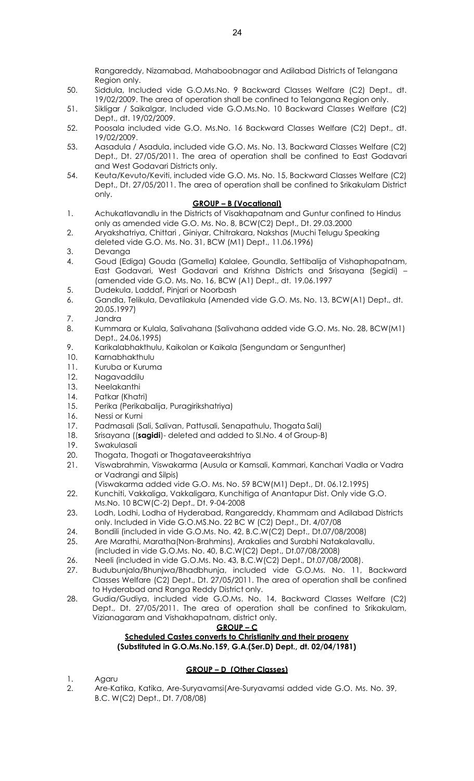Rangareddy, Nizamabad, Mahaboobnagar and Adilabad Districts of Telangana Region only.

- 50. Siddula, Included vide G.O.Ms.No. 9 Backward Classes Welfare (C2) Dept., dt. 19/02/2009. The area of operation shall be confined to Telangana Region only.
- 51. Sikligar / Saikalgar, Included vide G.O.Ms.No. 10 Backward Classes Welfare (C2) Dept., dt. 19/02/2009.
- 52. Poosala included vide G.O. Ms.No. 16 Backward Classes Welfare (C2) Dept., dt. 19/02/2009.
- 53. Aasadula / Asadula, included vide G.O. Ms. No. 13, Backward Classes Welfare (C2) Dept., Dt. 27/05/2011. The area of operation shall be confined to East Godavari and West Godavari Districts only.
- 54. Keuta/Kevuto/Keviti, included vide G.O. Ms. No. 15, Backward Classes Welfare (C2) Dept., Dt. 27/05/2011. The area of operation shall be confined to Srikakulam District only.

# **GROUP – B (Vocational)**

- 1. Achukatlavandlu in the Districts of Visakhapatnam and Guntur confined to Hindus only as amended vide G.O. Ms. No. 8, BCW(C2) Dept., Dt. 29.03.2000
- 2. Aryakshatriya, Chittari , Giniyar, Chitrakara, Nakshas (Muchi Telugu Speaking deleted vide G.O. Ms. No. 31, BCW (M1) Dept., 11.06.1996)
- 3. Devanga
- 4. Goud (Ediga) Gouda (Gamella) Kalalee, Goundla, Settibalija of Vishaphapatnam, East Godavari, West Godavari and Krishna Districts and Srisayana (Segidi) – (amended vide G.O. Ms. No. 16, BCW (A1) Dept., dt. 19.06.1997
- 5. Dudekula, Laddaf, Pinjari or Noorbash
- 6. Gandla, Telikula, Devatilakula (Amended vide G.O. Ms. No. 13, BCW(A1) Dept., dt. 20.05.1997)
- 7. Jandra
- 8. Kummara or Kulala, Salivahana (Salivahana added vide G.O. Ms. No. 28, BCW(M1) Dept., 24.06.1995)
- 9. Karikalabhakthulu, Kaikolan or Kaikala (Sengundam or Sengunther)
- 10. Karnabhakthulu
- 11. Kuruba or Kuruma
- 12. Nagavaddilu
- 13. Neelakanthi
- 14. Patkar (Khatri)
- 15. Perika (Perikabalija, Puragirikshatriya)
- 16. Nessi or Kurni
- 17. Padmasali (Sali, Salivan, Pattusali, Senapathulu, Thogata Sali)
- 18. Srisayana ((**sagidi**)- deleted and added to Sl.No. 4 of Group-B)
- 19. Swakulasali
- 20. Thogata, Thogati or Thogataveerakshtriya
- 21. Viswabrahmin, Viswakarma (Ausula or Kamsali, Kammari, Kanchari Vadla or Vadra or Vadrangi and Silpis)
- (Viswakarma added vide G.O. Ms. No. 59 BCW(M1) Dept., Dt. 06.12.1995) 22. Kunchiti, Vakkaliga, Vakkaligara, Kunchitiga of Anantapur Dist. Only vide G.O.
- Ms.No. 10 BCW(C-2) Dept., Dt. 9-04-2008
- 23. Lodh, Lodhi, Lodha of Hyderabad, Rangareddy, Khammam and Adilabad Districts only. Included in Vide G.O.MS.No. 22 BC W (C2) Dept., Dt. 4/07/08
- 24. Bondili (included in vide G.O.Ms. No. 42, B.C.W(C2) Dept., Dt.07/08/2008)
- 25. Are Marathi, Maratha(Non-Brahmins), Arakalies and Surabhi Natakalavallu.
- (included in vide G.O.Ms. No. 40, B.C.W(C2) Dept., Dt.07/08/2008)
- 26. Neeli (included in vide G.O.Ms. No. 43, B.C.W(C2) Dept., Dt.07/08/2008). 27. Budubunjala/Bhunjwa/Bhadbhunja, included vide G.O.Ms. No. 11, Backward
- Classes Welfare (C2) Dept., Dt. 27/05/2011. The area of operation shall be confined to Hyderabad and Ranga Reddy District only.
- 28. Gudia/Gudiya, included vide G.O.Ms. No. 14, Backward Classes Welfare (C2) Dept., Dt. 27/05/2011. The area of operation shall be confined to Srikakulam, Vizianagaram and Vishakhapatnam, district only.

$$
\text{GROUP} - C
$$

# **Scheduled Castes converts to Christianity and their progeny (Substituted in G.O.Ms.No.159, G.A.(Ser.D) Dept., dt. 02/04/1981)**

# **GROUP – D (Other Classes)**

- 1. Agaru
- 2. Are-Katika, Katika, Are-Suryavamsi(Are-Suryavamsi added vide G.O. Ms. No. 39, B.C. W(C2) Dept., Dt. 7/08/08)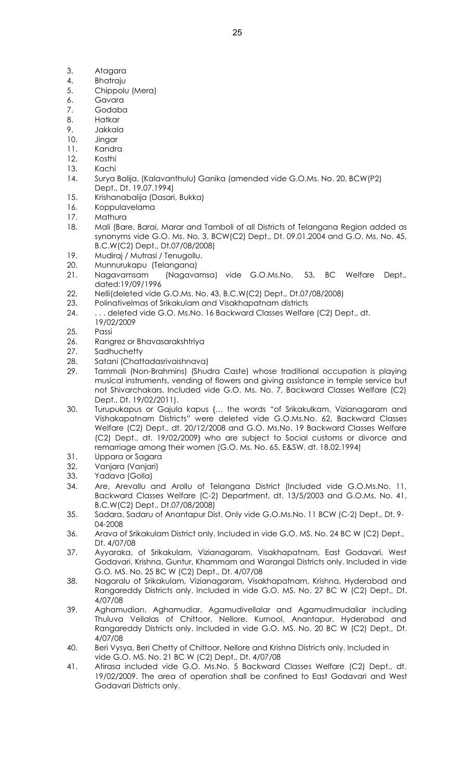- 3. Atagara
- 4. Bhatraju
- 5. Chippolu (Mera)
- 6. Gavara
- 7. Godaba
- 8. Hatkar
- 9. Jakkala
- 10. Jingar
- 11. Kandra
- 12. Kosthi 13. Kachi
- 14. Surya Balija, (Kalavanthulu) Ganika (amended vide G.O.Ms. No. 20, BCW(P2) Dept., Dt. 19.07.1994)
- 15. Krishanabalija (Dasari, Bukka)
- 16. Koppulavelama
- 17. Mathura
- 18. Mali (Bare, Barai, Marar and Tamboli of all Districts of Telangana Region added as synonyms vide G.O. Ms. No. 3, BCW(C2) Dept., Dt. 09.01.2004 and G.O. Ms. No. 45, B.C.W(C2) Dept., Dt.07/08/2008)
- 19. Mudiraj / Mutrasi / Tenugollu.
- 20. Munnurukapu (Telangana)
- 21. Nagavamsam (Nagavamsa) vide G.O.Ms.No. 53, BC Welfare Dept., dated:19/09/1996
- 22. Nelli(deleted vide G.O.Ms. No. 43, B.C.W(C2) Dept., Dt.07/08/2008)
- 23. Polinativelmas of Srikakulam and Visakhapatnam districts
- 24. . . . deleted vide G.O. Ms.No. 16 Backward Classes Welfare (C2) Dept., dt.
- 19/02/2009
- 25. Passi
- 26. Rangrez or Bhavasarakshtriya
- 27. Sadhuchetty
- 28. Satani (Chattadasrivaishnava)
- 29. Tammali (Non-Brahmins) (Shudra Caste) whose traditional occupation is playing musical instruments, vending of flowers and giving assistance in temple service but not Shivarchakars. Included vide G.O. Ms. No. 7, Backward Classes Welfare (C2) Dept., Dt. 19/02/2011).
- 30. Turupukapus or Gajula kapus {… the words "of Srikakulkam, Vizianagaram and Vishakapatnam Districts" were deleted vide G.O.Ms.No. 62, Backward Classes Welfare (C2) Dept., dt. 20/12/2008 and G.O. Ms.No. 19 Backward Classes Welfare (C2) Dept., dt. 19/02/2009} who are subject to Social customs or divorce and remarriage among their women (G.O. Ms. No. 65, E&SW, dt. 18.02.1994)
- 31. Uppara or Sagara<br>32. Vanjara (Vanjari)
- Vanjara (Vanjari)
- 33. Yadava (Golla)
- 34. Are, Arevallu and Arollu of Telangana District (Included vide G.O.Ms.No. 11, Backward Classes Welfare (C-2) Department, dt. 13/5/2003 and G.O.Ms. No. 41, B.C.W(C2) Dept., Dt.07/08/2008)
- 35. Sadara, Sadaru of Anantapur Dist. Only vide G.O.Ms.No. 11 BCW (C-2) Dept., Dt. 9- 04-2008
- 36. Arava of Srikakulam District only. Included in vide G.O. MS. No. 24 BC W (C2) Dept., Dt. 4/07/08
- 37. Ayyaraka, of Srikakulam, Vizianagaram, Visakhapatnam, East Godavari, West Godavari, Krishna, Guntur, Khammam and Warangal Districts only. Included in vide G.O. MS. No. 25 BC W (C2) Dept., Dt. 4/07/08
- 38. Nagaralu of Srikakulam, Vizianagaram, Visakhapatnam, Krishna, Hyderabad and Rangareddy Districts only. Included in vide G.O. MS. No. 27 BC W (C2) Dept., Dt. 4/07/08
- 39. Aghamudian, Aghamudiar, Agamudivellalar and Agamudimudaliar including Thuluva Vellalas of Chittoor, Nellore, Kurnool, Anantapur, Hyderabad and Rangareddy Districts only. Included in vide G.O. MS. No. 20 BC W (C2) Dept., Dt. 4/07/08
- 40. Beri Vysya, Beri Chetty of Chittoor, Nellore and Krishna Districts only. Included in vide G.O. MS. No. 21 BC W (C2) Dept., Dt. 4/07/08
- 41. Atirasa included vide G.O. Ms.No. 5 Backward Classes Welfare (C2) Dept., dt. 19/02/2009. The area of operation shall be confined to East Godavari and West Godavari Districts only.